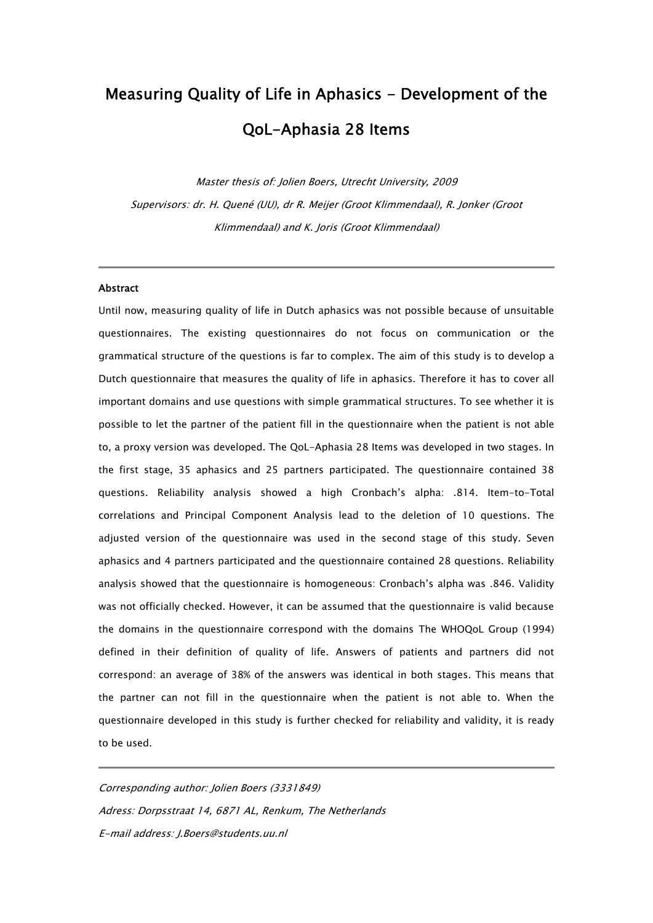# Measuring Quality of Life in Aphasics - Development of the QoL-Aphasia 28 Items

Master thesis of: Jolien Boers, Utrecht University, 2009 Supervisors: dr. H. Quené (UU), dr R. Meijer (Groot Klimmendaal), R. Jonker (Groot Klimmendaal) and K. Joris (Groot Klimmendaal)

I.

# **Abstract**

Until now, measuring quality of life in Dutch aphasics was not possible because of unsuitable questionnaires. The existing questionnaires do not focus on communication or the grammatical structure of the questions is far to complex. The aim of this study is to develop a Dutch questionnaire that measures the quality of life in aphasics. Therefore it has to cover all important domains and use questions with simple grammatical structures. To see whether it is possible to let the partner of the patient fill in the questionnaire when the patient is not able to, a proxy version was developed. The QoL-Aphasia 28 Items was developed in two stages. In the first stage, 35 aphasics and 25 partners participated. The questionnaire contained 38 questions. Reliability analysis showed a high Cronbach's alpha: .814. Item-to-Total correlations and Principal Component Analysis lead to the deletion of 10 questions. The adjusted version of the questionnaire was used in the second stage of this study. Seven aphasics and 4 partners participated and the questionnaire contained 28 questions. Reliability analysis showed that the questionnaire is homogeneous: Cronbach's alpha was .846. Validity was not officially checked. However, it can be assumed that the questionnaire is valid because the domains in the questionnaire correspond with the domains The WHOQoL Group (1994) defined in their definition of quality of life. Answers of patients and partners did not correspond: an average of 38% of the answers was identical in both stages. This means that the partner can not fill in the questionnaire when the patient is not able to. When the questionnaire developed in this study is further checked for reliability and validity, it is ready to be used.

Corresponding author: Jolien Boers (3331849) Adress: Dorpsstraat 14, 6871 AL, Renkum, The Netherlands E-mail address: J.Boers@students.uu.nl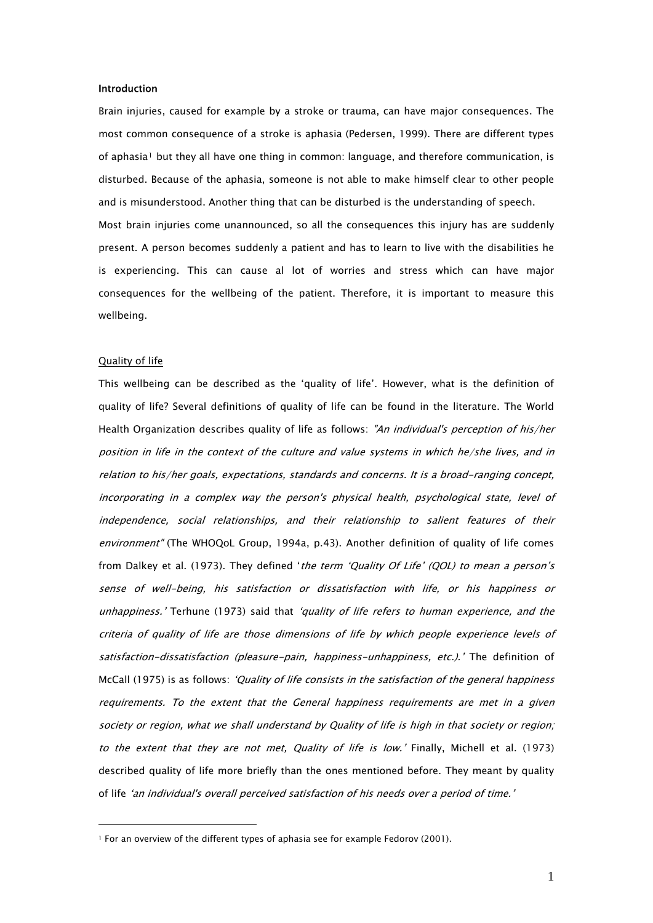# Introduction

Brain injuries, caused for example by a stroke or trauma, can have major consequences. The most common consequence of a stroke is aphasia (Pedersen, 1999). There are different types of aphasia<sup>[1](#page-1-0)</sup> but they all have one thing in common: language, and therefore communication, is disturbed. Because of the aphasia, someone is not able to make himself clear to other people and is misunderstood. Another thing that can be disturbed is the understanding of speech. Most brain injuries come unannounced, so all the consequences this injury has are suddenly present. A person becomes suddenly a patient and has to learn to live with the disabilities he is experiencing. This can cause al lot of worries and stress which can have major consequences for the wellbeing of the patient. Therefore, it is important to measure this wellbeing.

#### Quality of life

 $\overline{a}$ 

This wellbeing can be described as the 'quality of life'. However, what is the definition of quality of life? Several definitions of quality of life can be found in the literature. The World Health Organization describes quality of life as follows: "An individual's perception of his/her position in life in the context of the culture and value systems in which he/she lives, and in relation to his/her goals, expectations, standards and concerns. It is a broad-ranging concept, incorporating in a complex way the person's physical health, psychological state, level of independence, social relationships, and their relationship to salient features of their environment" (The WHOQoL Group, 1994a, p.43). Another definition of quality of life comes from Dalkey et al. (1973). They defined 'the term 'Quality Of Life' (QOL) to mean a person's sense of well-being, his satisfaction or dissatisfaction with life, or his happiness or unhappiness.' Terhune (1973) said that 'quality of life refers to human experience, and the criteria of quality of life are those dimensions of life by which people experience levels of satisfaction-dissatisfaction (pleasure-pain, happiness-unhappiness, etc.).' The definition of McCall (1975) is as follows: 'Quality of life consists in the satisfaction of the general happiness requirements. To the extent that the General happiness requirements are met in a given society or region, what we shall understand by Quality of life is high in that society or region; to the extent that they are not met, Quality of life is low.' Finally, Michell et al. (1973) described quality of life more briefly than the ones mentioned before. They meant by quality of life 'an individual's overall perceived satisfaction of his needs over a period of time.'

<span id="page-1-0"></span><sup>&</sup>lt;sup>1</sup> For an overview of the different types of aphasia see for example Fedorov (2001).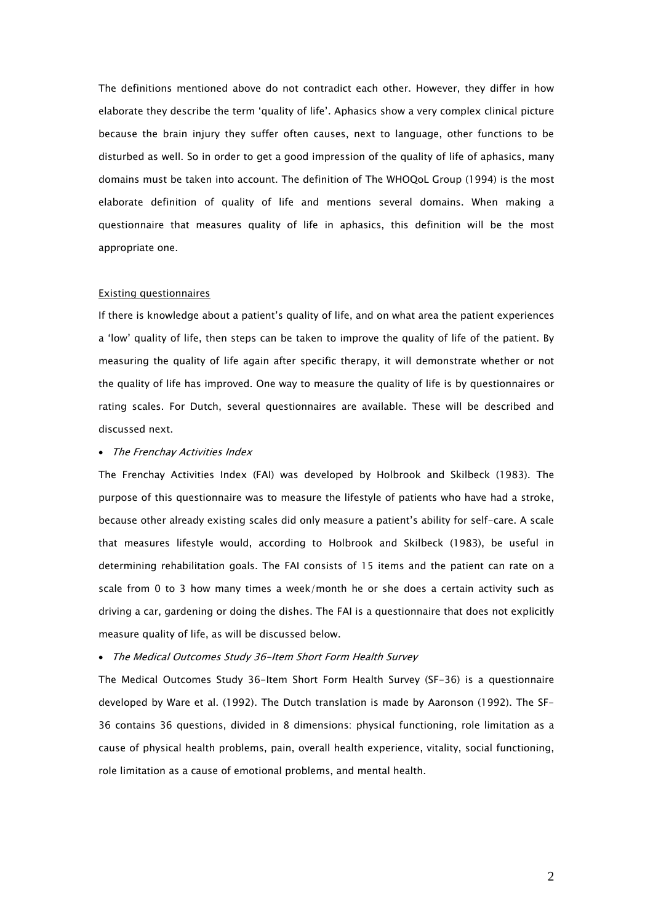The definitions mentioned above do not contradict each other. However, they differ in how elaborate they describe the term 'quality of life'. Aphasics show a very complex clinical picture because the brain injury they suffer often causes, next to language, other functions to be disturbed as well. So in order to get a good impression of the quality of life of aphasics, many domains must be taken into account. The definition of The WHOQoL Group (1994) is the most elaborate definition of quality of life and mentions several domains. When making a questionnaire that measures quality of life in aphasics, this definition will be the most appropriate one.

# Existing questionnaires

If there is knowledge about a patient's quality of life, and on what area the patient experiences a 'low' quality of life, then steps can be taken to improve the quality of life of the patient. By measuring the quality of life again after specific therapy, it will demonstrate whether or not the quality of life has improved. One way to measure the quality of life is by questionnaires or rating scales. For Dutch, several questionnaires are available. These will be described and discussed next.

# • The Frenchay Activities Index

The Frenchay Activities Index (FAI) was developed by Holbrook and Skilbeck (1983). The purpose of this questionnaire was to measure the lifestyle of patients who have had a stroke, because other already existing scales did only measure a patient's ability for self-care. A scale that measures lifestyle would, according to Holbrook and Skilbeck (1983), be useful in determining rehabilitation goals. The FAI consists of 15 items and the patient can rate on a scale from 0 to 3 how many times a week/month he or she does a certain activity such as driving a car, gardening or doing the dishes. The FAI is a questionnaire that does not explicitly measure quality of life, as will be discussed below.

# • The Medical Outcomes Study 36-Item Short Form Health Survey

The Medical Outcomes Study 36-Item Short Form Health Survey (SF-36) is a questionnaire developed by Ware et al. (1992). The Dutch translation is made by Aaronson (1992). The SF-36 contains 36 questions, divided in 8 dimensions: physical functioning, role limitation as a cause of physical health problems, pain, overall health experience, vitality, social functioning, role limitation as a cause of emotional problems, and mental health.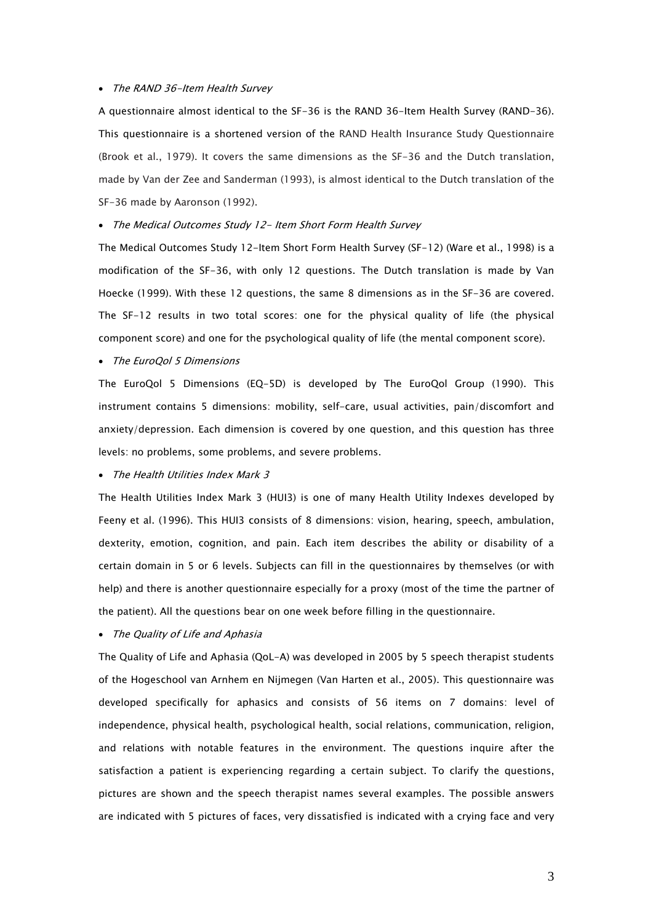# • The RAND 36-Item Health Survey

A questionnaire almost identical to the SF-36 is the RAND 36-Item Health Survey (RAND-36). This questionnaire is a shortened version of the RAND Health Insurance Study Questionnaire (Brook et al., 1979). It covers the same dimensions as the SF-36 and the Dutch translation, made by Van der Zee and Sanderman (1993), is almost identical to the Dutch translation of the SF-36 made by Aaronson (1992).

# • The Medical Outcomes Study 12- Item Short Form Health Survey

The Medical Outcomes Study 12-Item Short Form Health Survey (SF-12) (Ware et al., 1998) is a modification of the SF-36, with only 12 questions. The Dutch translation is made by Van Hoecke (1999). With these 12 questions, the same 8 dimensions as in the SF-36 are covered. The SF-12 results in two total scores: one for the physical quality of life (the physical component score) and one for the psychological quality of life (the mental component score).

### • The EuroQol 5 Dimensions

The EuroQol 5 Dimensions (EQ-5D) is developed by The EuroQol Group (1990). This instrument contains 5 dimensions: mobility, self-care, usual activities, pain/discomfort and anxiety/depression. Each dimension is covered by one question, and this question has three levels: no problems, some problems, and severe problems.

# • The Health Utilities Index Mark 3

The Health Utilities Index Mark 3 (HUI3) is one of many Health Utility Indexes developed by Feeny et al. (1996). This HUI3 consists of 8 dimensions: vision, hearing, speech, ambulation, dexterity, emotion, cognition, and pain. Each item describes the ability or disability of a certain domain in 5 or 6 levels. Subjects can fill in the questionnaires by themselves (or with help) and there is another questionnaire especially for a proxy (most of the time the partner of the patient). All the questions bear on one week before filling in the questionnaire.

# • The Quality of Life and Aphasia

The Quality of Life and Aphasia (QoL-A) was developed in 2005 by 5 speech therapist students of the Hogeschool van Arnhem en Nijmegen (Van Harten et al., 2005). This questionnaire was developed specifically for aphasics and consists of 56 items on 7 domains: level of independence, physical health, psychological health, social relations, communication, religion, and relations with notable features in the environment. The questions inquire after the satisfaction a patient is experiencing regarding a certain subject. To clarify the questions, pictures are shown and the speech therapist names several examples. The possible answers are indicated with 5 pictures of faces, very dissatisfied is indicated with a crying face and very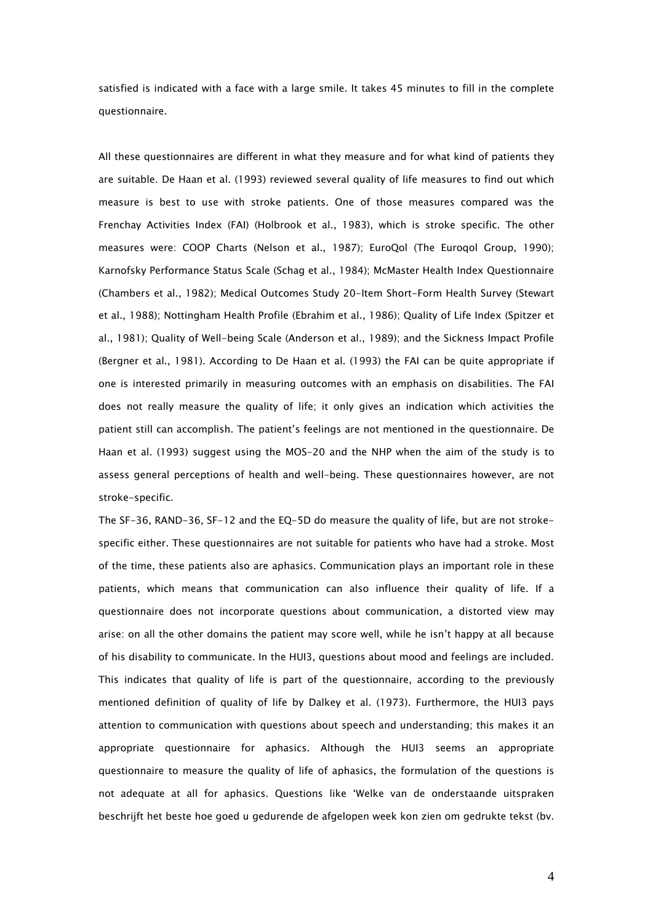satisfied is indicated with a face with a large smile. It takes 45 minutes to fill in the complete questionnaire.

All these questionnaires are different in what they measure and for what kind of patients they are suitable. De Haan et al. (1993) reviewed several quality of life measures to find out which measure is best to use with stroke patients. One of those measures compared was the Frenchay Activities Index (FAI) (Holbrook et al., 1983), which is stroke specific. The other measures were: COOP Charts (Nelson et al., 1987); EuroQol (The Euroqol Group, 1990); Karnofsky Performance Status Scale (Schag et al., 1984); McMaster Health Index Questionnaire (Chambers et al., 1982); Medical Outcomes Study 20-Item Short-Form Health Survey (Stewart et al., 1988); Nottingham Health Profile (Ebrahim et al., 1986); Quality of Life Index (Spitzer et al., 1981); Quality of Well-being Scale (Anderson et al., 1989); and the Sickness Impact Profile (Bergner et al., 1981). According to De Haan et al. (1993) the FAI can be quite appropriate if one is interested primarily in measuring outcomes with an emphasis on disabilities. The FAI does not really measure the quality of life; it only gives an indication which activities the patient still can accomplish. The patient's feelings are not mentioned in the questionnaire. De Haan et al. (1993) suggest using the MOS-20 and the NHP when the aim of the study is to assess general perceptions of health and well-being. These questionnaires however, are not stroke-specific.

The SF-36, RAND-36, SF-12 and the EQ-5D do measure the quality of life, but are not strokespecific either. These questionnaires are not suitable for patients who have had a stroke. Most of the time, these patients also are aphasics. Communication plays an important role in these patients, which means that communication can also influence their quality of life. If a questionnaire does not incorporate questions about communication, a distorted view may arise: on all the other domains the patient may score well, while he isn't happy at all because of his disability to communicate. In the HUI3, questions about mood and feelings are included. This indicates that quality of life is part of the questionnaire, according to the previously mentioned definition of quality of life by Dalkey et al. (1973). Furthermore, the HUI3 pays attention to communication with questions about speech and understanding; this makes it an appropriate questionnaire for aphasics. Although the HUI3 seems an appropriate questionnaire to measure the quality of life of aphasics, the formulation of the questions is not adequate at all for aphasics. Questions like 'Welke van de onderstaande uitspraken beschrijft het beste hoe goed u gedurende de afgelopen week kon zien om gedrukte tekst (bv.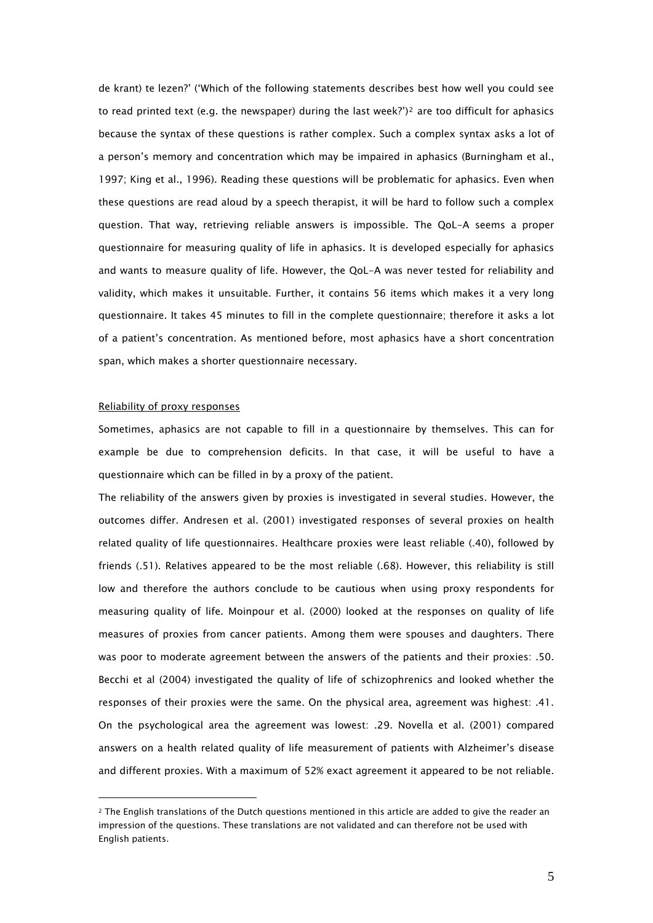de krant) te lezen?' ('Which of the following statements describes best how well you could see to read printed text (e.g. the newspaper) during the last week?')<sup>[2](#page-5-0)</sup> are too difficult for aphasics because the syntax of these questions is rather complex. Such a complex syntax asks a lot of a person's memory and concentration which may be impaired in aphasics (Burningham et al., 1997; King et al., 1996). Reading these questions will be problematic for aphasics. Even when these questions are read aloud by a speech therapist, it will be hard to follow such a complex question. That way, retrieving reliable answers is impossible. The QoL-A seems a proper questionnaire for measuring quality of life in aphasics. It is developed especially for aphasics and wants to measure quality of life. However, the QoL-A was never tested for reliability and validity, which makes it unsuitable. Further, it contains 56 items which makes it a very long questionnaire. It takes 45 minutes to fill in the complete questionnaire; therefore it asks a lot of a patient's concentration. As mentioned before, most aphasics have a short concentration span, which makes a shorter questionnaire necessary.

# Reliability of proxy responses

 $\overline{a}$ 

Sometimes, aphasics are not capable to fill in a questionnaire by themselves. This can for example be due to comprehension deficits. In that case, it will be useful to have a questionnaire which can be filled in by a proxy of the patient.

The reliability of the answers given by proxies is investigated in several studies. However, the outcomes differ. Andresen et al. (2001) investigated responses of several proxies on health related quality of life questionnaires. Healthcare proxies were least reliable (.40), followed by friends (.51). Relatives appeared to be the most reliable (.68). However, this reliability is still low and therefore the authors conclude to be cautious when using proxy respondents for measuring quality of life. Moinpour et al. (2000) looked at the responses on quality of life measures of proxies from cancer patients. Among them were spouses and daughters. There was poor to moderate agreement between the answers of the patients and their proxies: .50. Becchi et al (2004) investigated the quality of life of schizophrenics and looked whether the responses of their proxies were the same. On the physical area, agreement was highest: .41. On the psychological area the agreement was lowest: .29. Novella et al. (2001) compared answers on a health related quality of life measurement of patients with Alzheimer's disease and different proxies. With a maximum of 52% exact agreement it appeared to be not reliable.

<span id="page-5-0"></span><sup>2</sup> The English translations of the Dutch questions mentioned in this article are added to give the reader an impression of the questions. These translations are not validated and can therefore not be used with English patients.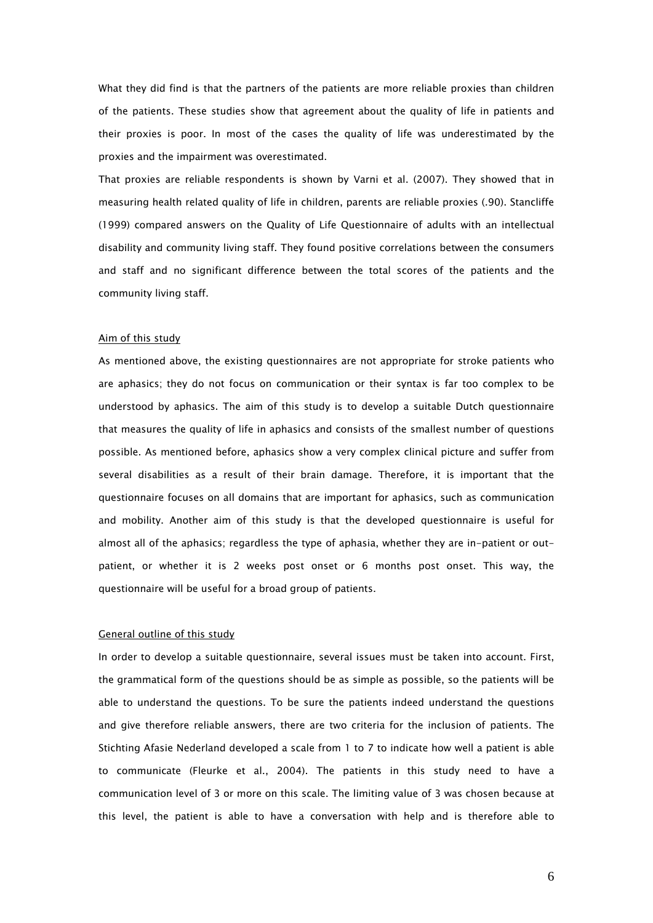What they did find is that the partners of the patients are more reliable proxies than children of the patients. These studies show that agreement about the quality of life in patients and their proxies is poor. In most of the cases the quality of life was underestimated by the proxies and the impairment was overestimated.

That proxies are reliable respondents is shown by Varni et al. (2007). They showed that in measuring health related quality of life in children, parents are reliable proxies (.90). Stancliffe (1999) compared answers on the Quality of Life Questionnaire of adults with an intellectual disability and community living staff. They found positive correlations between the consumers and staff and no significant difference between the total scores of the patients and the community living staff.

#### Aim of this study

As mentioned above, the existing questionnaires are not appropriate for stroke patients who are aphasics; they do not focus on communication or their syntax is far too complex to be understood by aphasics. The aim of this study is to develop a suitable Dutch questionnaire that measures the quality of life in aphasics and consists of the smallest number of questions possible. As mentioned before, aphasics show a very complex clinical picture and suffer from several disabilities as a result of their brain damage. Therefore, it is important that the questionnaire focuses on all domains that are important for aphasics, such as communication and mobility. Another aim of this study is that the developed questionnaire is useful for almost all of the aphasics; regardless the type of aphasia, whether they are in-patient or outpatient, or whether it is 2 weeks post onset or 6 months post onset. This way, the questionnaire will be useful for a broad group of patients.

# General outline of this study

In order to develop a suitable questionnaire, several issues must be taken into account. First, the grammatical form of the questions should be as simple as possible, so the patients will be able to understand the questions. To be sure the patients indeed understand the questions and give therefore reliable answers, there are two criteria for the inclusion of patients. The Stichting Afasie Nederland developed a scale from 1 to 7 to indicate how well a patient is able to communicate (Fleurke et al., 2004). The patients in this study need to have a communication level of 3 or more on this scale. The limiting value of 3 was chosen because at this level, the patient is able to have a conversation with help and is therefore able to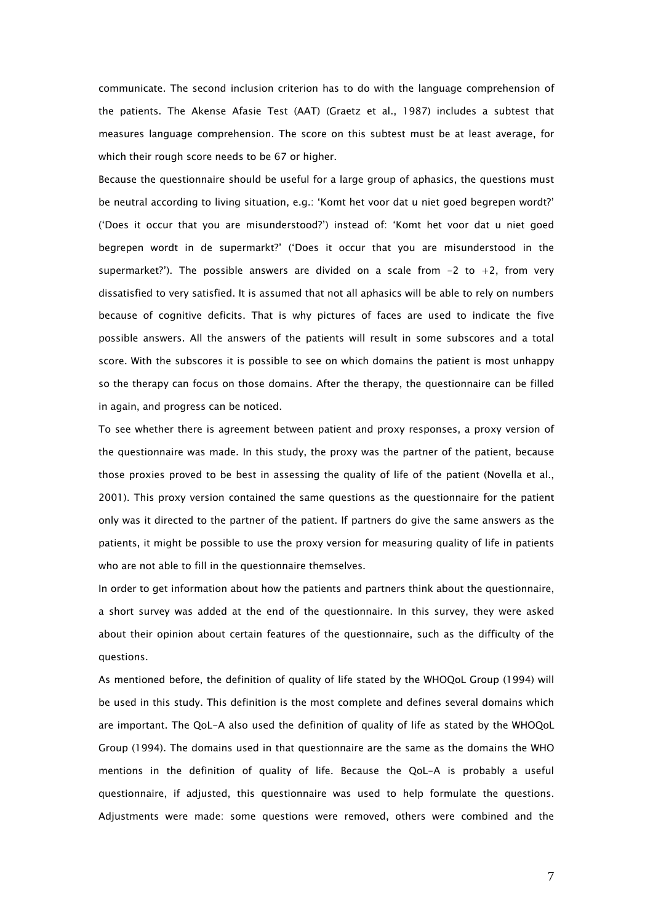communicate. The second inclusion criterion has to do with the language comprehension of the patients. The Akense Afasie Test (AAT) (Graetz et al., 1987) includes a subtest that measures language comprehension. The score on this subtest must be at least average, for which their rough score needs to be 67 or higher.

Because the questionnaire should be useful for a large group of aphasics, the questions must be neutral according to living situation, e.g.: 'Komt het voor dat u niet goed begrepen wordt?' ('Does it occur that you are misunderstood?') instead of: 'Komt het voor dat u niet goed begrepen wordt in de supermarkt?' ('Does it occur that you are misunderstood in the supermarket?'). The possible answers are divided on a scale from  $-2$  to  $+2$ , from very dissatisfied to very satisfied. It is assumed that not all aphasics will be able to rely on numbers because of cognitive deficits. That is why pictures of faces are used to indicate the five possible answers. All the answers of the patients will result in some subscores and a total score. With the subscores it is possible to see on which domains the patient is most unhappy so the therapy can focus on those domains. After the therapy, the questionnaire can be filled in again, and progress can be noticed.

To see whether there is agreement between patient and proxy responses, a proxy version of the questionnaire was made. In this study, the proxy was the partner of the patient, because those proxies proved to be best in assessing the quality of life of the patient (Novella et al., 2001). This proxy version contained the same questions as the questionnaire for the patient only was it directed to the partner of the patient. If partners do give the same answers as the patients, it might be possible to use the proxy version for measuring quality of life in patients who are not able to fill in the questionnaire themselves.

In order to get information about how the patients and partners think about the questionnaire, a short survey was added at the end of the questionnaire. In this survey, they were asked about their opinion about certain features of the questionnaire, such as the difficulty of the questions.

As mentioned before, the definition of quality of life stated by the WHOQoL Group (1994) will be used in this study. This definition is the most complete and defines several domains which are important. The QoL-A also used the definition of quality of life as stated by the WHOQoL Group (1994). The domains used in that questionnaire are the same as the domains the WHO mentions in the definition of quality of life. Because the QoL-A is probably a useful questionnaire, if adjusted, this questionnaire was used to help formulate the questions. Adjustments were made: some questions were removed, others were combined and the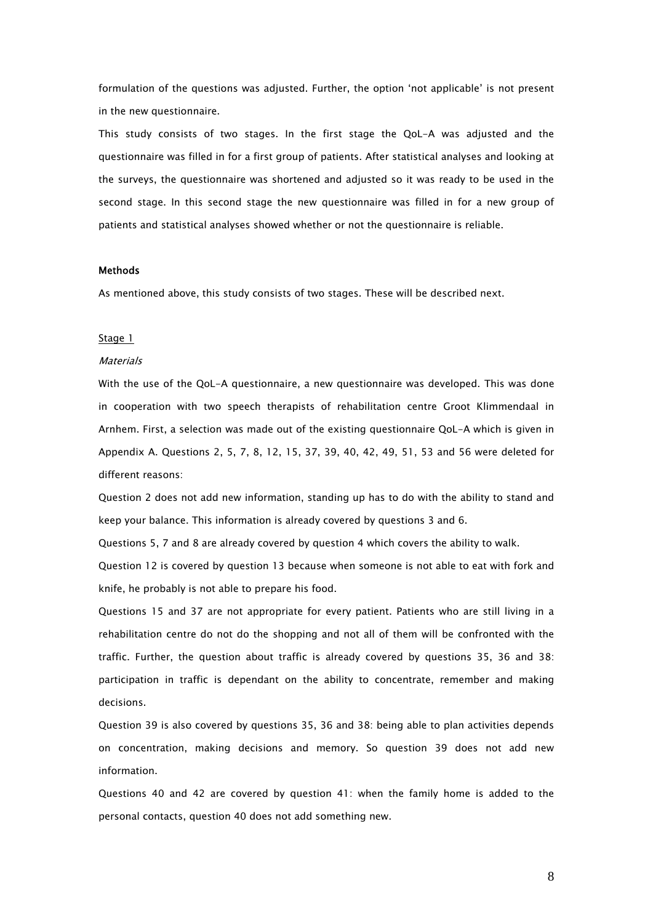formulation of the questions was adjusted. Further, the option 'not applicable' is not present in the new questionnaire.

This study consists of two stages. In the first stage the QoL-A was adjusted and the questionnaire was filled in for a first group of patients. After statistical analyses and looking at the surveys, the questionnaire was shortened and adjusted so it was ready to be used in the second stage. In this second stage the new questionnaire was filled in for a new group of patients and statistical analyses showed whether or not the questionnaire is reliable.

# **Methods**

As mentioned above, this study consists of two stages. These will be described next.

#### Stage 1

# **Materials**

With the use of the QoL-A questionnaire, a new questionnaire was developed. This was done in cooperation with two speech therapists of rehabilitation centre Groot Klimmendaal in Arnhem. First, a selection was made out of the existing questionnaire QoL-A which is given in Appendix A. Questions 2, 5, 7, 8, 12, 15, 37, 39, 40, 42, 49, 51, 53 and 56 were deleted for different reasons:

Question 2 does not add new information, standing up has to do with the ability to stand and keep your balance. This information is already covered by questions 3 and 6.

Questions 5, 7 and 8 are already covered by question 4 which covers the ability to walk.

Question 12 is covered by question 13 because when someone is not able to eat with fork and knife, he probably is not able to prepare his food.

Questions 15 and 37 are not appropriate for every patient. Patients who are still living in a rehabilitation centre do not do the shopping and not all of them will be confronted with the traffic. Further, the question about traffic is already covered by questions 35, 36 and 38: participation in traffic is dependant on the ability to concentrate, remember and making decisions.

Question 39 is also covered by questions 35, 36 and 38: being able to plan activities depends on concentration, making decisions and memory. So question 39 does not add new information.

Questions 40 and 42 are covered by question 41: when the family home is added to the personal contacts, question 40 does not add something new.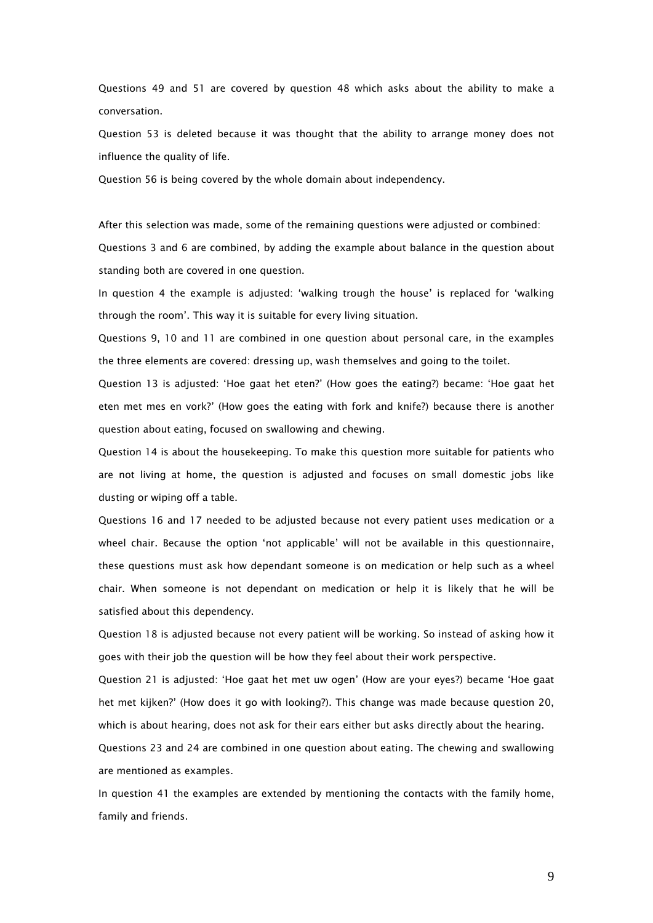Questions 49 and 51 are covered by question 48 which asks about the ability to make a conversation.

Question 53 is deleted because it was thought that the ability to arrange money does not influence the quality of life.

Question 56 is being covered by the whole domain about independency.

After this selection was made, some of the remaining questions were adjusted or combined: Questions 3 and 6 are combined, by adding the example about balance in the question about standing both are covered in one question.

In question 4 the example is adjusted: 'walking trough the house' is replaced for 'walking through the room'. This way it is suitable for every living situation.

Questions 9, 10 and 11 are combined in one question about personal care, in the examples the three elements are covered: dressing up, wash themselves and going to the toilet.

Question 13 is adjusted: 'Hoe gaat het eten?' (How goes the eating?) became: 'Hoe gaat het eten met mes en vork?' (How goes the eating with fork and knife?) because there is another question about eating, focused on swallowing and chewing.

Question 14 is about the housekeeping. To make this question more suitable for patients who are not living at home, the question is adjusted and focuses on small domestic jobs like dusting or wiping off a table.

Questions 16 and 17 needed to be adjusted because not every patient uses medication or a wheel chair. Because the option 'not applicable' will not be available in this questionnaire, these questions must ask how dependant someone is on medication or help such as a wheel chair. When someone is not dependant on medication or help it is likely that he will be satisfied about this dependency.

Question 18 is adjusted because not every patient will be working. So instead of asking how it goes with their job the question will be how they feel about their work perspective.

Question 21 is adjusted: 'Hoe gaat het met uw ogen' (How are your eyes?) became 'Hoe gaat het met kijken?' (How does it go with looking?). This change was made because question 20, which is about hearing, does not ask for their ears either but asks directly about the hearing.

Questions 23 and 24 are combined in one question about eating. The chewing and swallowing are mentioned as examples.

In question 41 the examples are extended by mentioning the contacts with the family home, family and friends.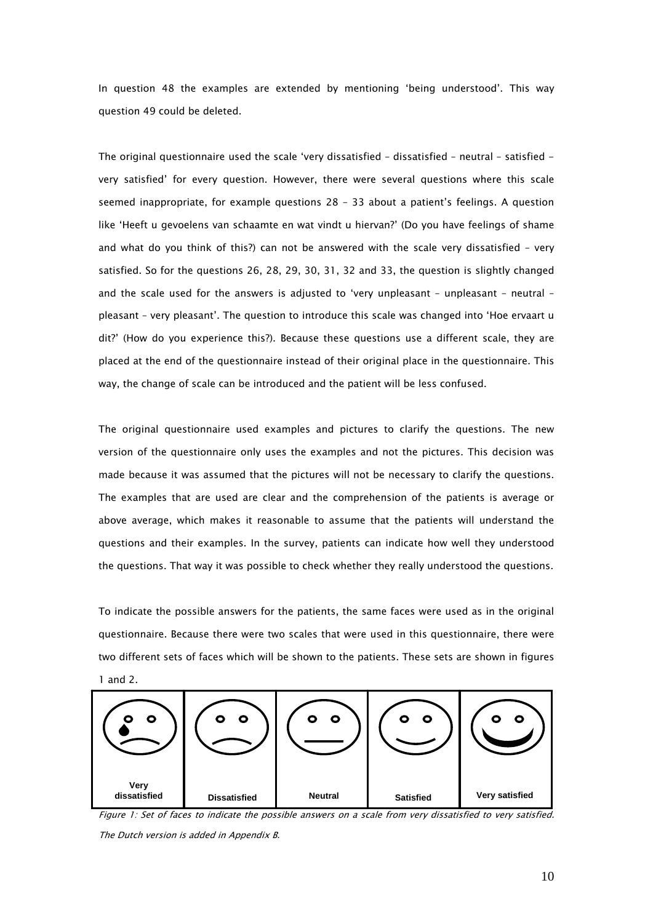In question 48 the examples are extended by mentioning 'being understood'. This way question 49 could be deleted.

The original questionnaire used the scale 'very dissatisfied – dissatisfied – neutral – satisfied very satisfied' for every question. However, there were several questions where this scale seemed inappropriate, for example questions 28 – 33 about a patient's feelings. A question like 'Heeft u gevoelens van schaamte en wat vindt u hiervan?' (Do you have feelings of shame and what do you think of this?) can not be answered with the scale very dissatisfied – very satisfied. So for the questions 26, 28, 29, 30, 31, 32 and 33, the question is slightly changed and the scale used for the answers is adjusted to 'very unpleasant – unpleasant – neutral – pleasant – very pleasant'. The question to introduce this scale was changed into 'Hoe ervaart u dit?' (How do you experience this?). Because these questions use a different scale, they are placed at the end of the questionnaire instead of their original place in the questionnaire. This way, the change of scale can be introduced and the patient will be less confused.

The original questionnaire used examples and pictures to clarify the questions. The new version of the questionnaire only uses the examples and not the pictures. This decision was made because it was assumed that the pictures will not be necessary to clarify the questions. The examples that are used are clear and the comprehension of the patients is average or above average, which makes it reasonable to assume that the patients will understand the questions and their examples. In the survey, patients can indicate how well they understood the questions. That way it was possible to check whether they really understood the questions.

To indicate the possible answers for the patients, the same faces were used as in the original questionnaire. Because there were two scales that were used in this questionnaire, there were two different sets of faces which will be shown to the patients. These sets are shown in figures 1 and 2.



Figure 1: Set of faces to indicate the possible answers on a scale from very dissatisfied to very satisfied. The Dutch version is added in Appendix B.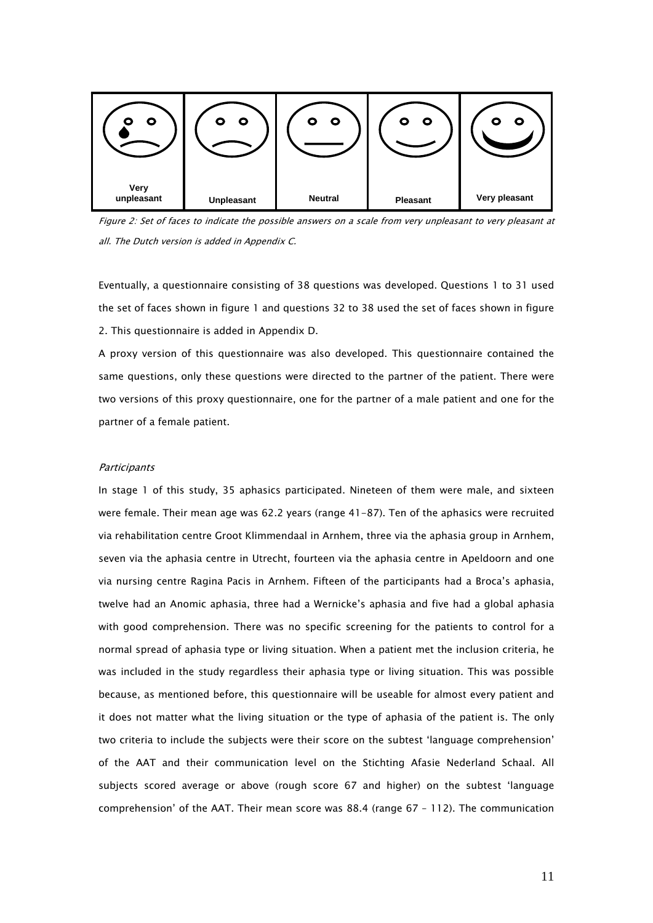

Figure 2: Set of faces to indicate the possible answers on a scale from very unpleasant to very pleasant at all. The Dutch version is added in Appendix C.

Eventually, a questionnaire consisting of 38 questions was developed. Questions 1 to 31 used the set of faces shown in figure 1 and questions 32 to 38 used the set of faces shown in figure 2. This questionnaire is added in Appendix D.

A proxy version of this questionnaire was also developed. This questionnaire contained the same questions, only these questions were directed to the partner of the patient. There were two versions of this proxy questionnaire, one for the partner of a male patient and one for the partner of a female patient.

# **Participants**

In stage 1 of this study, 35 aphasics participated. Nineteen of them were male, and sixteen were female. Their mean age was 62.2 years (range 41-87). Ten of the aphasics were recruited via rehabilitation centre Groot Klimmendaal in Arnhem, three via the aphasia group in Arnhem, seven via the aphasia centre in Utrecht, fourteen via the aphasia centre in Apeldoorn and one via nursing centre Ragina Pacis in Arnhem. Fifteen of the participants had a Broca's aphasia, twelve had an Anomic aphasia, three had a Wernicke's aphasia and five had a global aphasia with good comprehension. There was no specific screening for the patients to control for a normal spread of aphasia type or living situation. When a patient met the inclusion criteria, he was included in the study regardless their aphasia type or living situation. This was possible because, as mentioned before, this questionnaire will be useable for almost every patient and it does not matter what the living situation or the type of aphasia of the patient is. The only two criteria to include the subjects were their score on the subtest 'language comprehension' of the AAT and their communication level on the Stichting Afasie Nederland Schaal. All subjects scored average or above (rough score 67 and higher) on the subtest 'language comprehension' of the AAT. Their mean score was 88.4 (range 67 – 112). The communication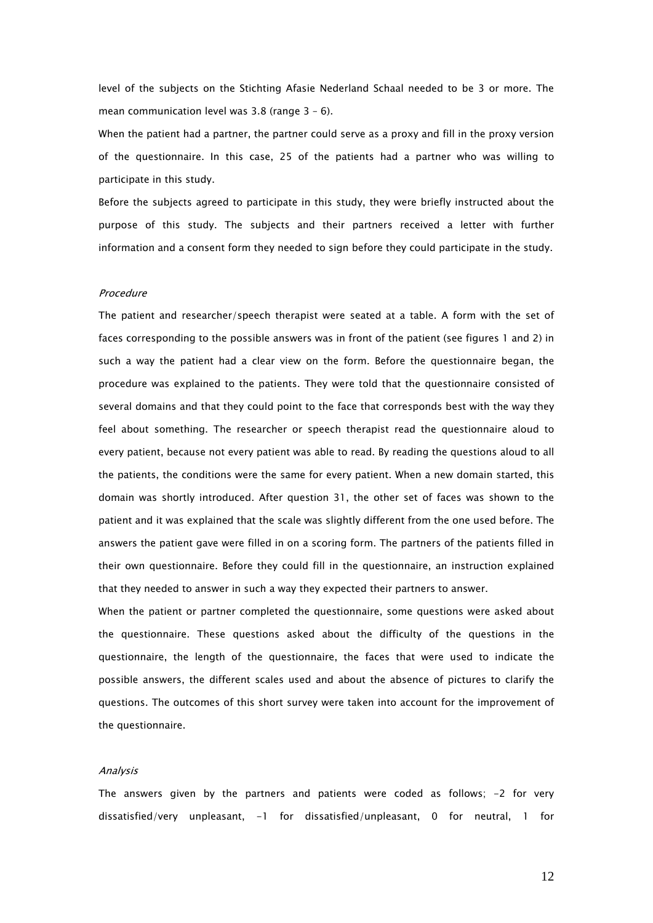level of the subjects on the Stichting Afasie Nederland Schaal needed to be 3 or more. The mean communication level was 3.8 (range 3 – 6).

When the patient had a partner, the partner could serve as a proxy and fill in the proxy version of the questionnaire. In this case, 25 of the patients had a partner who was willing to participate in this study.

Before the subjects agreed to participate in this study, they were briefly instructed about the purpose of this study. The subjects and their partners received a letter with further information and a consent form they needed to sign before they could participate in the study.

# Procedure

The patient and researcher/speech therapist were seated at a table. A form with the set of faces corresponding to the possible answers was in front of the patient (see figures 1 and 2) in such a way the patient had a clear view on the form. Before the questionnaire began, the procedure was explained to the patients. They were told that the questionnaire consisted of several domains and that they could point to the face that corresponds best with the way they feel about something. The researcher or speech therapist read the questionnaire aloud to every patient, because not every patient was able to read. By reading the questions aloud to all the patients, the conditions were the same for every patient. When a new domain started, this domain was shortly introduced. After question 31, the other set of faces was shown to the patient and it was explained that the scale was slightly different from the one used before. The answers the patient gave were filled in on a scoring form. The partners of the patients filled in their own questionnaire. Before they could fill in the questionnaire, an instruction explained that they needed to answer in such a way they expected their partners to answer.

When the patient or partner completed the questionnaire, some questions were asked about the questionnaire. These questions asked about the difficulty of the questions in the questionnaire, the length of the questionnaire, the faces that were used to indicate the possible answers, the different scales used and about the absence of pictures to clarify the questions. The outcomes of this short survey were taken into account for the improvement of the questionnaire.

#### Analysis

The answers given by the partners and patients were coded as follows; -2 for very dissatisfied/very unpleasant,  $-1$  for dissatisfied/unpleasant, 0 for neutral, 1 for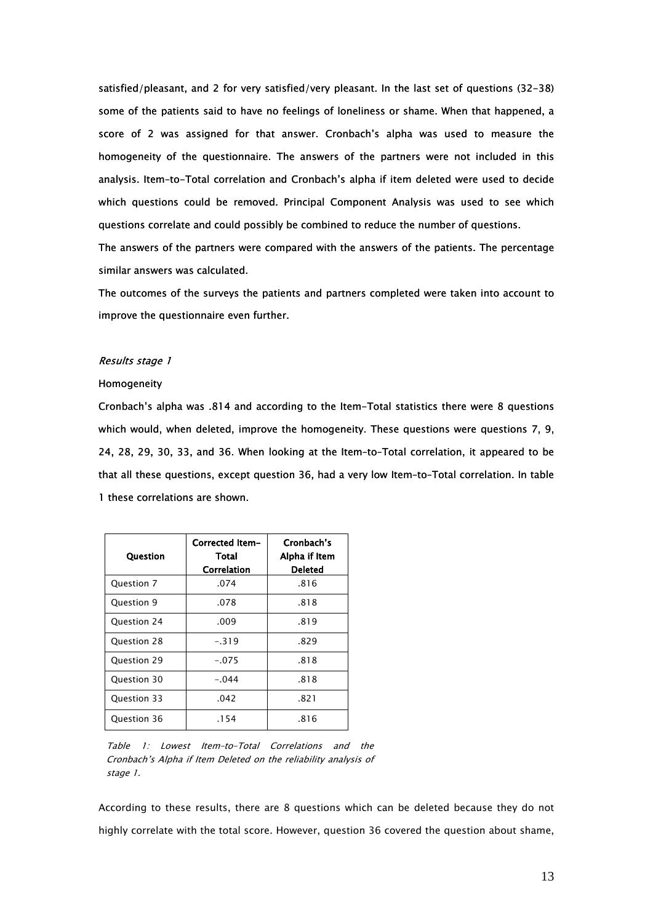satisfied/pleasant, and 2 for very satisfied/very pleasant. In the last set of questions (32-38) some of the patients said to have no feelings of loneliness or shame. When that happened, a score of 2 was assigned for that answer. Cronbach's alpha was used to measure the homogeneity of the questionnaire. The answers of the partners were not included in this analysis. Item–to-Total correlation and Cronbach's alpha if item deleted were used to decide which questions could be removed. Principal Component Analysis was used to see which questions correlate and could possibly be combined to reduce the number of questions.

The answers of the partners were compared with the answers of the patients. The percentage similar answers was calculated.

The outcomes of the surveys the patients and partners completed were taken into account to improve the questionnaire even further.

# Results stage 1

# Homogeneity

Cronbach's alpha was .814 and according to the Item-Total statistics there were 8 questions which would, when deleted, improve the homogeneity. These questions were questions 7, 9, 24, 28, 29, 30, 33, and 36. When looking at the Item–to–Total correlation, it appeared to be that all these questions, except question 36, had a very low Item–to–Total correlation. In table 1 these correlations are shown.

| <b>Question</b> | Corrected Item-<br>Total<br>Correlation | Cronbach's<br>Alpha if Item<br>Deleted |
|-----------------|-----------------------------------------|----------------------------------------|
| Question 7      | .074                                    | .816                                   |
| Question 9      | .078                                    | .818                                   |
| Question 24     | .009                                    | .819                                   |
| Question 28     | $-.319$                                 | .829                                   |
| Ouestion 29     | $-.075$                                 | .818                                   |
| Question 30     | $-.044$                                 | .818                                   |
| Question 33     | .042                                    | .821                                   |
| Question 36     | .154                                    | .816                                   |

Table 1: Lowest Item–to–Total Correlations and the Cronbach's Alpha if Item Deleted on the reliability analysis of stage 1.

According to these results, there are 8 questions which can be deleted because they do not highly correlate with the total score. However, question 36 covered the question about shame,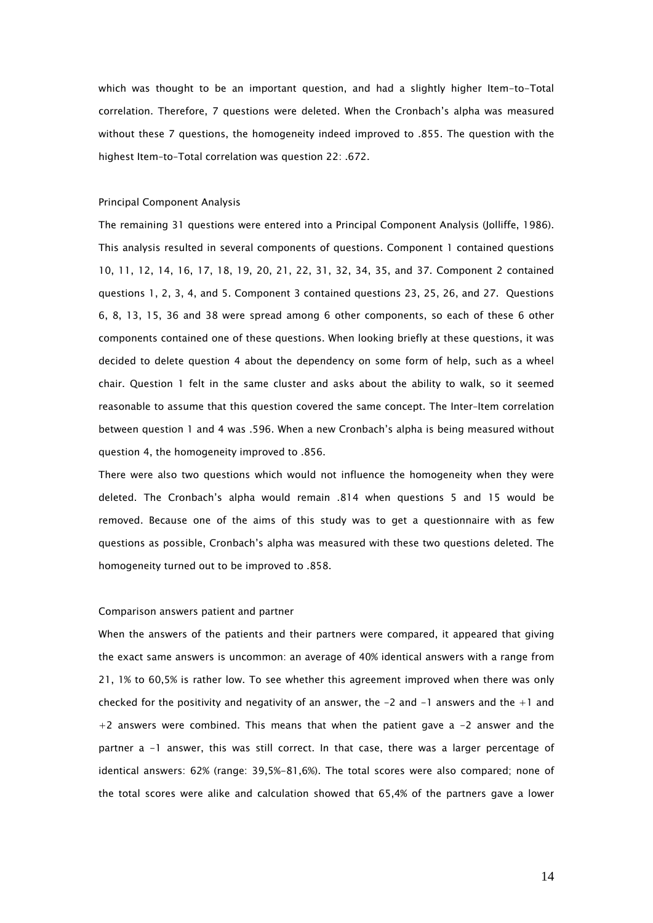which was thought to be an important question, and had a slightly higher Item-to-Total correlation. Therefore, 7 questions were deleted. When the Cronbach's alpha was measured without these 7 questions, the homogeneity indeed improved to .855. The question with the highest Item–to–Total correlation was question 22: .672.

# Principal Component Analysis

The remaining 31 questions were entered into a Principal Component Analysis (Jolliffe, 1986). This analysis resulted in several components of questions. Component 1 contained questions 10, 11, 12, 14, 16, 17, 18, 19, 20, 21, 22, 31, 32, 34, 35, and 37. Component 2 contained questions 1, 2, 3, 4, and 5. Component 3 contained questions 23, 25, 26, and 27. Questions 6, 8, 13, 15, 36 and 38 were spread among 6 other components, so each of these 6 other components contained one of these questions. When looking briefly at these questions, it was decided to delete question 4 about the dependency on some form of help, such as a wheel chair. Question 1 felt in the same cluster and asks about the ability to walk, so it seemed reasonable to assume that this question covered the same concept. The Inter–Item correlation between question 1 and 4 was .596. When a new Cronbach's alpha is being measured without question 4, the homogeneity improved to .856.

There were also two questions which would not influence the homogeneity when they were deleted. The Cronbach's alpha would remain .814 when questions 5 and 15 would be removed. Because one of the aims of this study was to get a questionnaire with as few questions as possible, Cronbach's alpha was measured with these two questions deleted. The homogeneity turned out to be improved to .858.

#### Comparison answers patient and partner

When the answers of the patients and their partners were compared, it appeared that giving the exact same answers is uncommon: an average of 40% identical answers with a range from 21, 1% to 60,5% is rather low. To see whether this agreement improved when there was only checked for the positivity and negativity of an answer, the  $-2$  and  $-1$  answers and the  $+1$  and  $+2$  answers were combined. This means that when the patient gave a  $-2$  answer and the partner a -1 answer, this was still correct. In that case, there was a larger percentage of identical answers: 62% (range: 39,5%-81,6%). The total scores were also compared; none of the total scores were alike and calculation showed that 65,4% of the partners gave a lower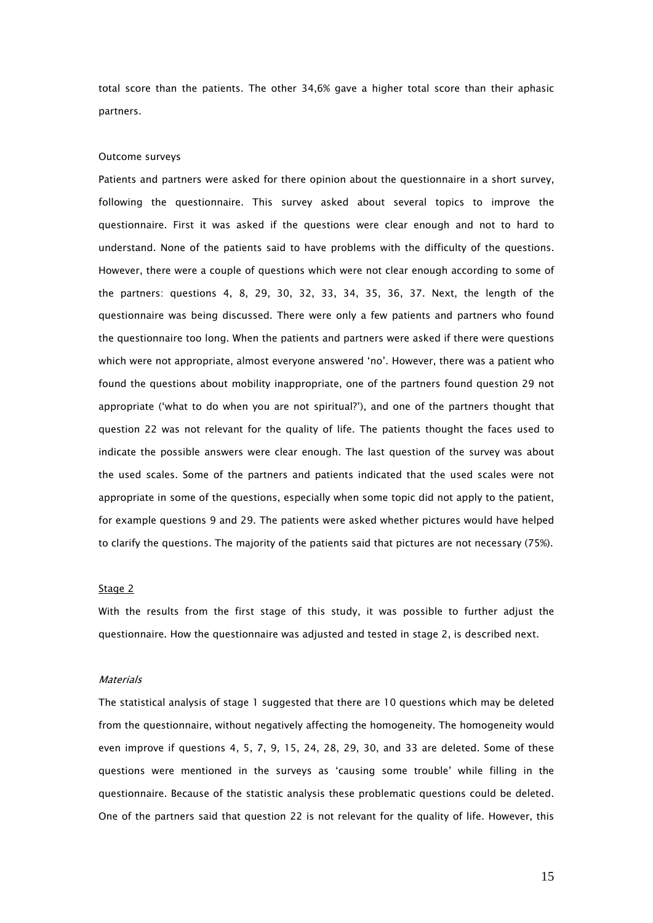total score than the patients. The other 34,6% gave a higher total score than their aphasic partners.

# Outcome surveys

Patients and partners were asked for there opinion about the questionnaire in a short survey, following the questionnaire. This survey asked about several topics to improve the questionnaire. First it was asked if the questions were clear enough and not to hard to understand. None of the patients said to have problems with the difficulty of the questions. However, there were a couple of questions which were not clear enough according to some of the partners: questions 4, 8, 29, 30, 32, 33, 34, 35, 36, 37. Next, the length of the questionnaire was being discussed. There were only a few patients and partners who found the questionnaire too long. When the patients and partners were asked if there were questions which were not appropriate, almost everyone answered 'no'. However, there was a patient who found the questions about mobility inappropriate, one of the partners found question 29 not appropriate ('what to do when you are not spiritual?'), and one of the partners thought that question 22 was not relevant for the quality of life. The patients thought the faces used to indicate the possible answers were clear enough. The last question of the survey was about the used scales. Some of the partners and patients indicated that the used scales were not appropriate in some of the questions, especially when some topic did not apply to the patient, for example questions 9 and 29. The patients were asked whether pictures would have helped to clarify the questions. The majority of the patients said that pictures are not necessary (75%).

#### Stage 2

With the results from the first stage of this study, it was possible to further adjust the questionnaire. How the questionnaire was adjusted and tested in stage 2, is described next.

# **Materials**

The statistical analysis of stage 1 suggested that there are 10 questions which may be deleted from the questionnaire, without negatively affecting the homogeneity. The homogeneity would even improve if questions 4, 5, 7, 9, 15, 24, 28, 29, 30, and 33 are deleted. Some of these questions were mentioned in the surveys as 'causing some trouble' while filling in the questionnaire. Because of the statistic analysis these problematic questions could be deleted. One of the partners said that question 22 is not relevant for the quality of life. However, this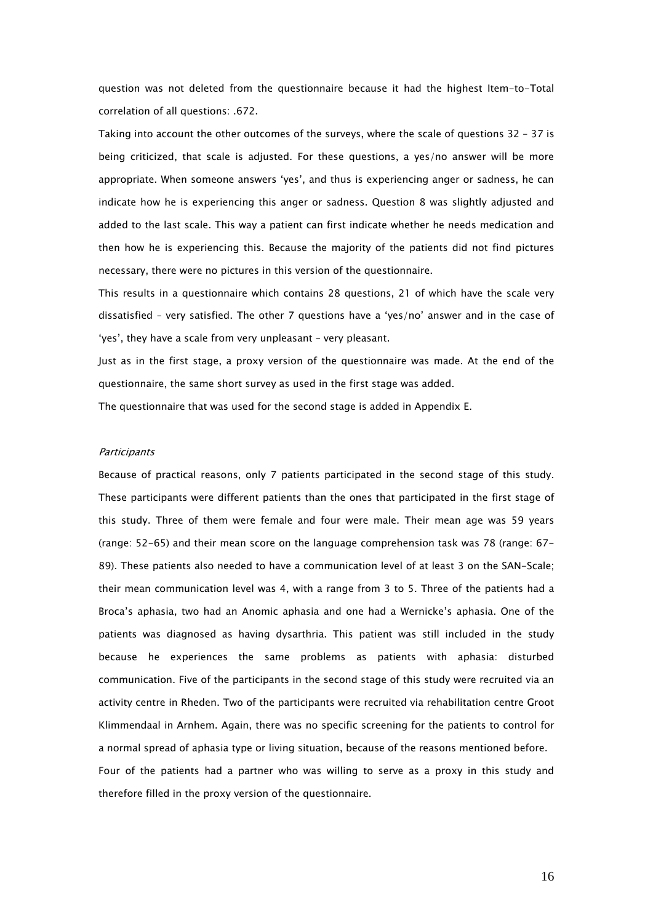question was not deleted from the questionnaire because it had the highest Item-to-Total correlation of all questions: .672.

Taking into account the other outcomes of the surveys, where the scale of questions 32 – 37 is being criticized, that scale is adjusted. For these questions, a yes/no answer will be more appropriate. When someone answers 'yes', and thus is experiencing anger or sadness, he can indicate how he is experiencing this anger or sadness. Question 8 was slightly adjusted and added to the last scale. This way a patient can first indicate whether he needs medication and then how he is experiencing this. Because the majority of the patients did not find pictures necessary, there were no pictures in this version of the questionnaire.

This results in a questionnaire which contains 28 questions, 21 of which have the scale very dissatisfied – very satisfied. The other 7 questions have a 'yes/no' answer and in the case of 'yes', they have a scale from very unpleasant – very pleasant.

Just as in the first stage, a proxy version of the questionnaire was made. At the end of the questionnaire, the same short survey as used in the first stage was added.

The questionnaire that was used for the second stage is added in Appendix E.

# **Participants**

Because of practical reasons, only 7 patients participated in the second stage of this study. These participants were different patients than the ones that participated in the first stage of this study. Three of them were female and four were male. Their mean age was 59 years (range: 52-65) and their mean score on the language comprehension task was 78 (range: 67- 89). These patients also needed to have a communication level of at least 3 on the SAN-Scale; their mean communication level was 4, with a range from 3 to 5. Three of the patients had a Broca's aphasia, two had an Anomic aphasia and one had a Wernicke's aphasia. One of the patients was diagnosed as having dysarthria. This patient was still included in the study because he experiences the same problems as patients with aphasia: disturbed communication. Five of the participants in the second stage of this study were recruited via an activity centre in Rheden. Two of the participants were recruited via rehabilitation centre Groot Klimmendaal in Arnhem. Again, there was no specific screening for the patients to control for a normal spread of aphasia type or living situation, because of the reasons mentioned before. Four of the patients had a partner who was willing to serve as a proxy in this study and therefore filled in the proxy version of the questionnaire.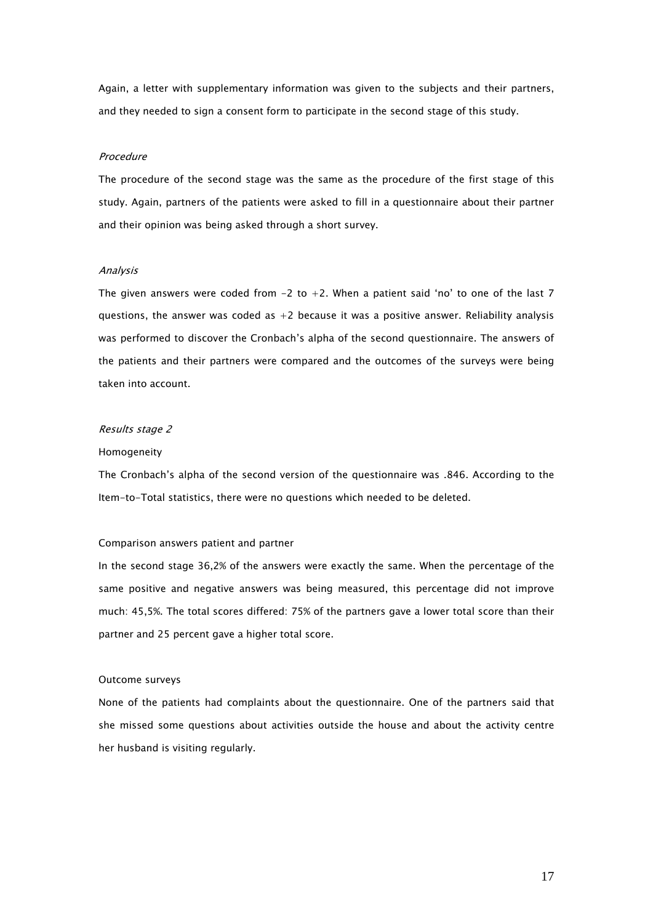Again, a letter with supplementary information was given to the subjects and their partners, and they needed to sign a consent form to participate in the second stage of this study.

### Procedure

The procedure of the second stage was the same as the procedure of the first stage of this study. Again, partners of the patients were asked to fill in a questionnaire about their partner and their opinion was being asked through a short survey.

# Analysis

The given answers were coded from  $-2$  to  $+2$ . When a patient said 'no' to one of the last 7 questions, the answer was coded as  $+2$  because it was a positive answer. Reliability analysis was performed to discover the Cronbach's alpha of the second questionnaire. The answers of the patients and their partners were compared and the outcomes of the surveys were being taken into account.

# Results stage 2

# Homogeneity

The Cronbach's alpha of the second version of the questionnaire was .846. According to the Item-to-Total statistics, there were no questions which needed to be deleted.

#### Comparison answers patient and partner

In the second stage 36,2% of the answers were exactly the same. When the percentage of the same positive and negative answers was being measured, this percentage did not improve much: 45,5%. The total scores differed: 75% of the partners gave a lower total score than their partner and 25 percent gave a higher total score.

# Outcome surveys

None of the patients had complaints about the questionnaire. One of the partners said that she missed some questions about activities outside the house and about the activity centre her husband is visiting regularly.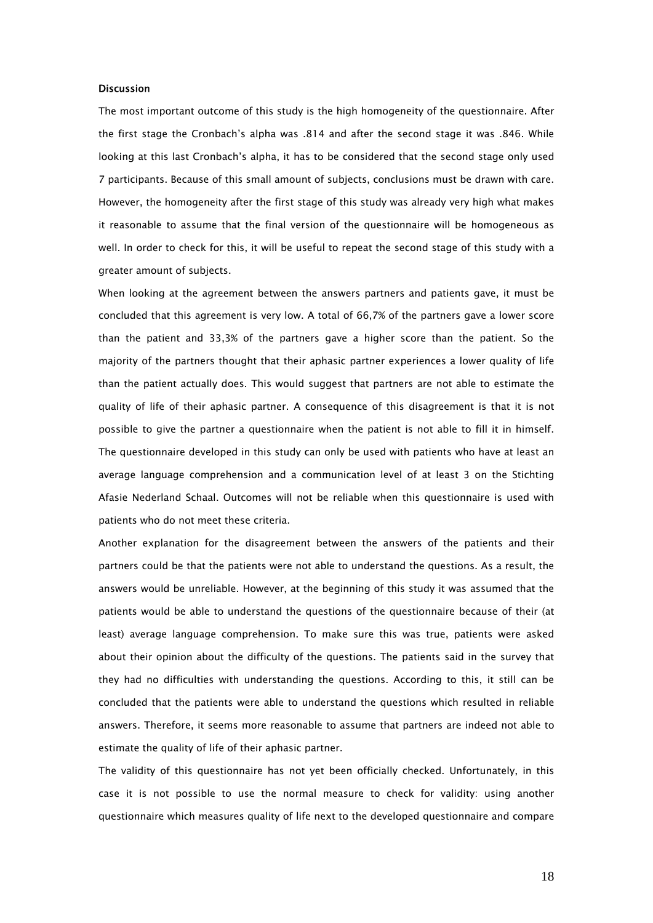# Discussion

The most important outcome of this study is the high homogeneity of the questionnaire. After the first stage the Cronbach's alpha was .814 and after the second stage it was .846. While looking at this last Cronbach's alpha, it has to be considered that the second stage only used 7 participants. Because of this small amount of subjects, conclusions must be drawn with care. However, the homogeneity after the first stage of this study was already very high what makes it reasonable to assume that the final version of the questionnaire will be homogeneous as well. In order to check for this, it will be useful to repeat the second stage of this study with a greater amount of subjects.

When looking at the agreement between the answers partners and patients gave, it must be concluded that this agreement is very low. A total of 66,7% of the partners gave a lower score than the patient and 33,3% of the partners gave a higher score than the patient. So the majority of the partners thought that their aphasic partner experiences a lower quality of life than the patient actually does. This would suggest that partners are not able to estimate the quality of life of their aphasic partner. A consequence of this disagreement is that it is not possible to give the partner a questionnaire when the patient is not able to fill it in himself. The questionnaire developed in this study can only be used with patients who have at least an average language comprehension and a communication level of at least 3 on the Stichting Afasie Nederland Schaal. Outcomes will not be reliable when this questionnaire is used with patients who do not meet these criteria.

Another explanation for the disagreement between the answers of the patients and their partners could be that the patients were not able to understand the questions. As a result, the answers would be unreliable. However, at the beginning of this study it was assumed that the patients would be able to understand the questions of the questionnaire because of their (at least) average language comprehension. To make sure this was true, patients were asked about their opinion about the difficulty of the questions. The patients said in the survey that they had no difficulties with understanding the questions. According to this, it still can be concluded that the patients were able to understand the questions which resulted in reliable answers. Therefore, it seems more reasonable to assume that partners are indeed not able to estimate the quality of life of their aphasic partner.

The validity of this questionnaire has not yet been officially checked. Unfortunately, in this case it is not possible to use the normal measure to check for validity: using another questionnaire which measures quality of life next to the developed questionnaire and compare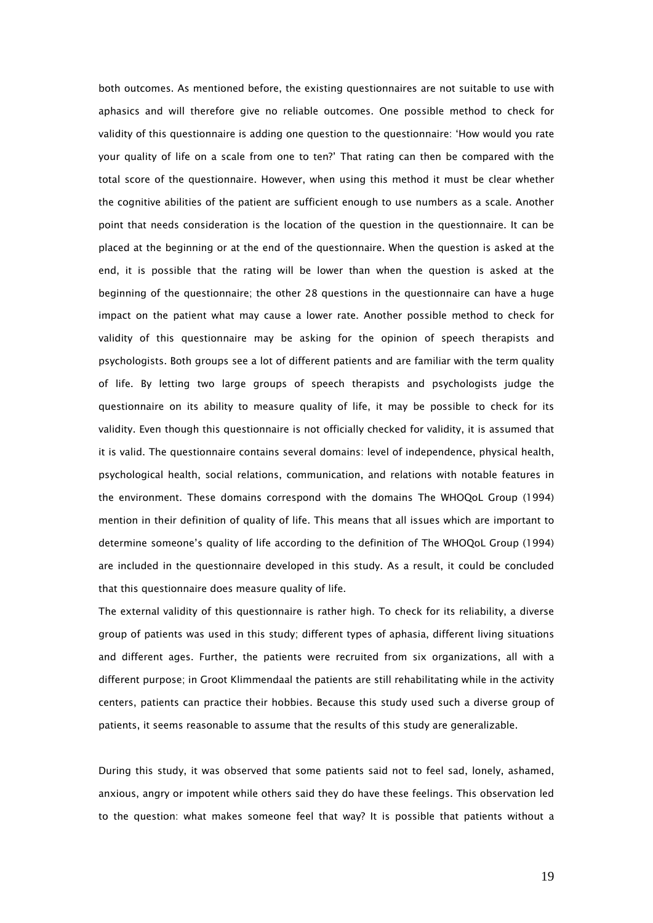both outcomes. As mentioned before, the existing questionnaires are not suitable to use with aphasics and will therefore give no reliable outcomes. One possible method to check for validity of this questionnaire is adding one question to the questionnaire: 'How would you rate your quality of life on a scale from one to ten?' That rating can then be compared with the total score of the questionnaire. However, when using this method it must be clear whether the cognitive abilities of the patient are sufficient enough to use numbers as a scale. Another point that needs consideration is the location of the question in the questionnaire. It can be placed at the beginning or at the end of the questionnaire. When the question is asked at the end, it is possible that the rating will be lower than when the question is asked at the beginning of the questionnaire; the other 28 questions in the questionnaire can have a huge impact on the patient what may cause a lower rate. Another possible method to check for validity of this questionnaire may be asking for the opinion of speech therapists and psychologists. Both groups see a lot of different patients and are familiar with the term quality of life. By letting two large groups of speech therapists and psychologists judge the questionnaire on its ability to measure quality of life, it may be possible to check for its validity. Even though this questionnaire is not officially checked for validity, it is assumed that it is valid. The questionnaire contains several domains: level of independence, physical health, psychological health, social relations, communication, and relations with notable features in the environment. These domains correspond with the domains The WHOQoL Group (1994) mention in their definition of quality of life. This means that all issues which are important to determine someone's quality of life according to the definition of The WHOQoL Group (1994) are included in the questionnaire developed in this study. As a result, it could be concluded that this questionnaire does measure quality of life.

The external validity of this questionnaire is rather high. To check for its reliability, a diverse group of patients was used in this study; different types of aphasia, different living situations and different ages. Further, the patients were recruited from six organizations, all with a different purpose; in Groot Klimmendaal the patients are still rehabilitating while in the activity centers, patients can practice their hobbies. Because this study used such a diverse group of patients, it seems reasonable to assume that the results of this study are generalizable.

During this study, it was observed that some patients said not to feel sad, lonely, ashamed, anxious, angry or impotent while others said they do have these feelings. This observation led to the question: what makes someone feel that way? It is possible that patients without a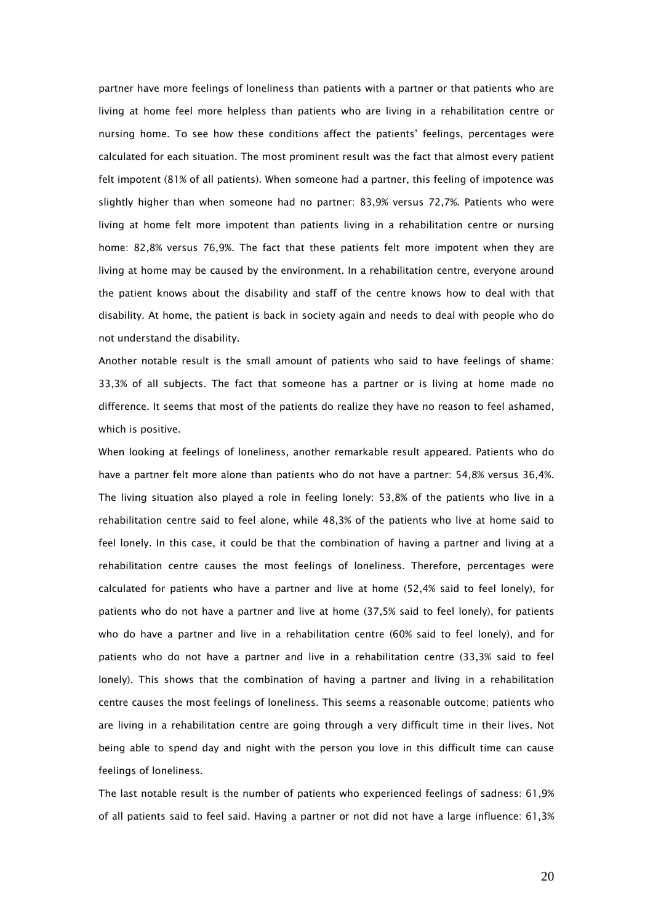partner have more feelings of loneliness than patients with a partner or that patients who are living at home feel more helpless than patients who are living in a rehabilitation centre or nursing home. To see how these conditions affect the patients' feelings, percentages were calculated for each situation. The most prominent result was the fact that almost every patient felt impotent (81% of all patients). When someone had a partner, this feeling of impotence was slightly higher than when someone had no partner: 83,9% versus 72,7%. Patients who were living at home felt more impotent than patients living in a rehabilitation centre or nursing home: 82,8% versus 76,9%. The fact that these patients felt more impotent when they are living at home may be caused by the environment. In a rehabilitation centre, everyone around the patient knows about the disability and staff of the centre knows how to deal with that disability. At home, the patient is back in society again and needs to deal with people who do not understand the disability.

Another notable result is the small amount of patients who said to have feelings of shame: 33,3% of all subjects. The fact that someone has a partner or is living at home made no difference. It seems that most of the patients do realize they have no reason to feel ashamed, which is positive.

When looking at feelings of loneliness, another remarkable result appeared. Patients who do have a partner felt more alone than patients who do not have a partner: 54,8% versus 36,4%. The living situation also played a role in feeling lonely: 53,8% of the patients who live in a rehabilitation centre said to feel alone, while 48,3% of the patients who live at home said to feel lonely. In this case, it could be that the combination of having a partner and living at a rehabilitation centre causes the most feelings of loneliness. Therefore, percentages were calculated for patients who have a partner and live at home (52,4% said to feel lonely), for patients who do not have a partner and live at home (37,5% said to feel lonely), for patients who do have a partner and live in a rehabilitation centre (60% said to feel lonely), and for patients who do not have a partner and live in a rehabilitation centre (33,3% said to feel lonely). This shows that the combination of having a partner and living in a rehabilitation centre causes the most feelings of loneliness. This seems a reasonable outcome; patients who are living in a rehabilitation centre are going through a very difficult time in their lives. Not being able to spend day and night with the person you love in this difficult time can cause feelings of loneliness.

The last notable result is the number of patients who experienced feelings of sadness: 61,9% of all patients said to feel said. Having a partner or not did not have a large influence: 61,3%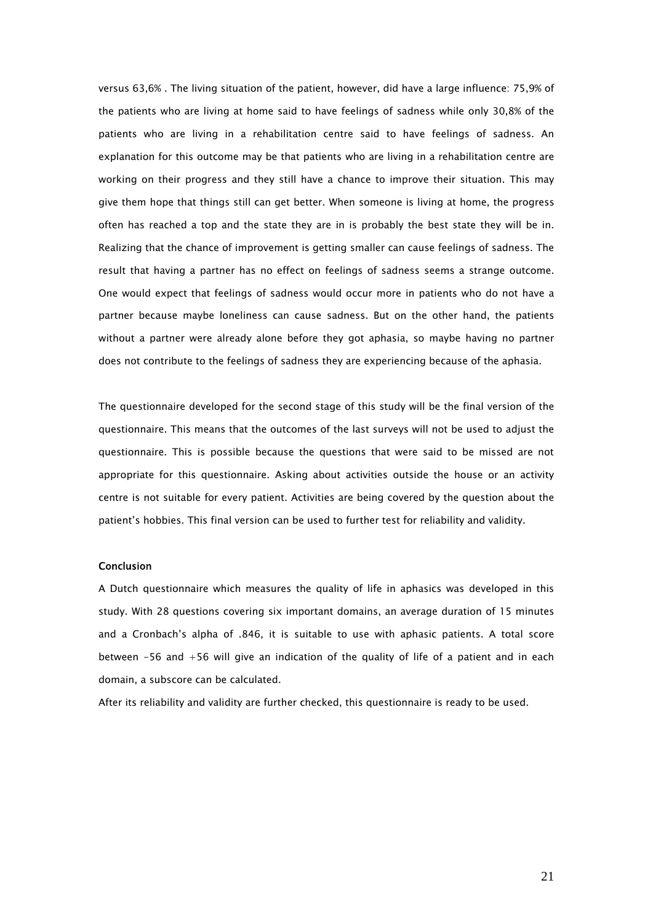versus 63,6% . The living situation of the patient, however, did have a large influence: 75,9% of the patients who are living at home said to have feelings of sadness while only 30,8% of the patients who are living in a rehabilitation centre said to have feelings of sadness. An explanation for this outcome may be that patients who are living in a rehabilitation centre are working on their progress and they still have a chance to improve their situation. This may give them hope that things still can get better. When someone is living at home, the progress often has reached a top and the state they are in is probably the best state they will be in. Realizing that the chance of improvement is getting smaller can cause feelings of sadness. The result that having a partner has no effect on feelings of sadness seems a strange outcome. One would expect that feelings of sadness would occur more in patients who do not have a partner because maybe loneliness can cause sadness. But on the other hand, the patients without a partner were already alone before they got aphasia, so maybe having no partner does not contribute to the feelings of sadness they are experiencing because of the aphasia.

The questionnaire developed for the second stage of this study will be the final version of the questionnaire. This means that the outcomes of the last surveys will not be used to adjust the questionnaire. This is possible because the questions that were said to be missed are not appropriate for this questionnaire. Asking about activities outside the house or an activity centre is not suitable for every patient. Activities are being covered by the question about the patient's hobbies. This final version can be used to further test for reliability and validity.

# Conclusion

A Dutch questionnaire which measures the quality of life in aphasics was developed in this study. With 28 questions covering six important domains, an average duration of 15 minutes and a Cronbach's alpha of .846, it is suitable to use with aphasic patients. A total score between -56 and +56 will give an indication of the quality of life of a patient and in each domain, a subscore can be calculated.

After its reliability and validity are further checked, this questionnaire is ready to be used.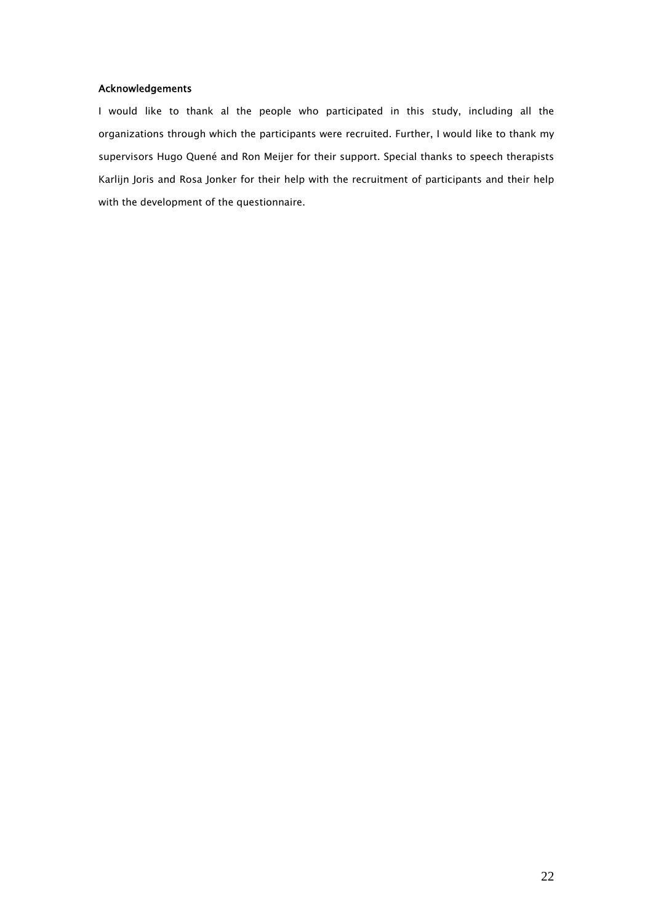# Acknowledgements

I would like to thank al the people who participated in this study, including all the organizations through which the participants were recruited. Further, I would like to thank my supervisors Hugo Quené and Ron Meijer for their support. Special thanks to speech therapists Karlijn Joris and Rosa Jonker for their help with the recruitment of participants and their help with the development of the questionnaire.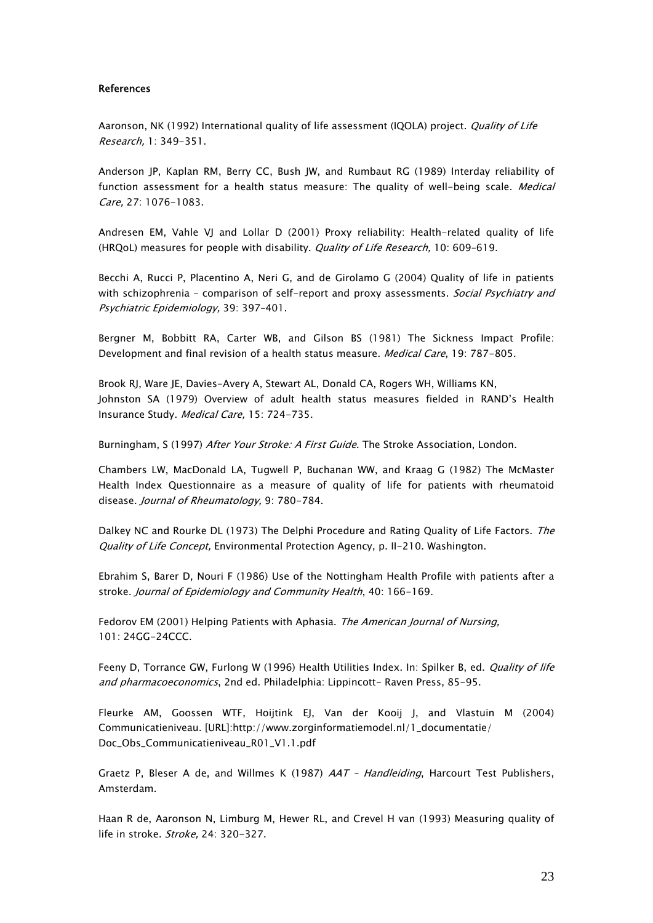# References

Aaronson, NK (1992) International quality of life assessment (IQOLA) project. Quality of Life Research, 1: 349-351.

Anderson JP, Kaplan RM, Berry CC, Bush JW, and Rumbaut RG (1989) Interday reliability of function assessment for a health status measure: The quality of well-being scale. *Medical* Care, 27: 1076-1083.

Andresen EM, Vahle VJ and Lollar D (2001) Proxy reliability: Health-related quality of life (HRQoL) measures for people with disability. *Quality of Life Research*, 10: 609-619.

Becchi A, Rucci P, Placentino A, Neri G, and de Girolamo G (2004) Quality of life in patients with schizophrenia - comparison of self-report and proxy assessments. Social Psychiatry and Psychiatric Epidemiology, 39: 397–401.

Bergner M, Bobbitt RA, Carter WB, and Gilson BS (1981) The Sickness Impact Profile: Development and final revision of a health status measure. *Medical Care*, 19: 787-805.

Brook RJ, Ware JE, Davies-Avery A, Stewart AL, Donald CA, Rogers WH, Williams KN, Johnston SA (1979) Overview of adult health status measures fielded in RAND's Health Insurance Study. Medical Care, 15: 724-735.

Burningham, S (1997) After Your Stroke: A First Guide. The Stroke Association, London.

Chambers LW, MacDonald LA, Tugwell P, Buchanan WW, and Kraag G (1982) The McMaster Health Index Questionnaire as a measure of quality of life for patients with rheumatoid disease. Journal of Rheumatology, 9: 780-784.

Dalkey NC and Rourke DL (1973) The Delphi Procedure and Rating Quality of Life Factors. The Quality of Life Concept, Environmental Protection Agency, p. II-210. Washington.

Ebrahim S, Barer D, Nouri F (1986) Use of the Nottingham Health Profile with patients after a stroke. Journal of Epidemiology and Community Health, 40: 166-169.

Fedorov EM (2001) Helping Patients with Aphasia. The American Journal of Nursing, 101: 24GG-24CCC.

Feeny D, Torrance GW, Furlong W (1996) Health Utilities Index. In: Spilker B, ed. *Quality of life* and pharmacoeconomics, 2nd ed. Philadelphia: Lippincott- Raven Press, 85-95.

Fleurke AM, Goossen WTF, Hoijtink EJ, Van der Kooij J, and Vlastuin M (2004) Communicatieniveau. [URL]:http://www.zorginformatiemodel.nl/1\_documentatie/ Doc\_Obs\_Communicatieniveau\_R01\_V1.1.pdf

Graetz P, Bleser A de, and Willmes K (1987) AAT - Handleiding, Harcourt Test Publishers, Amsterdam.

Haan R de, Aaronson N, Limburg M, Hewer RL, and Crevel H van (1993) Measuring quality of life in stroke. Stroke, 24: 320-327.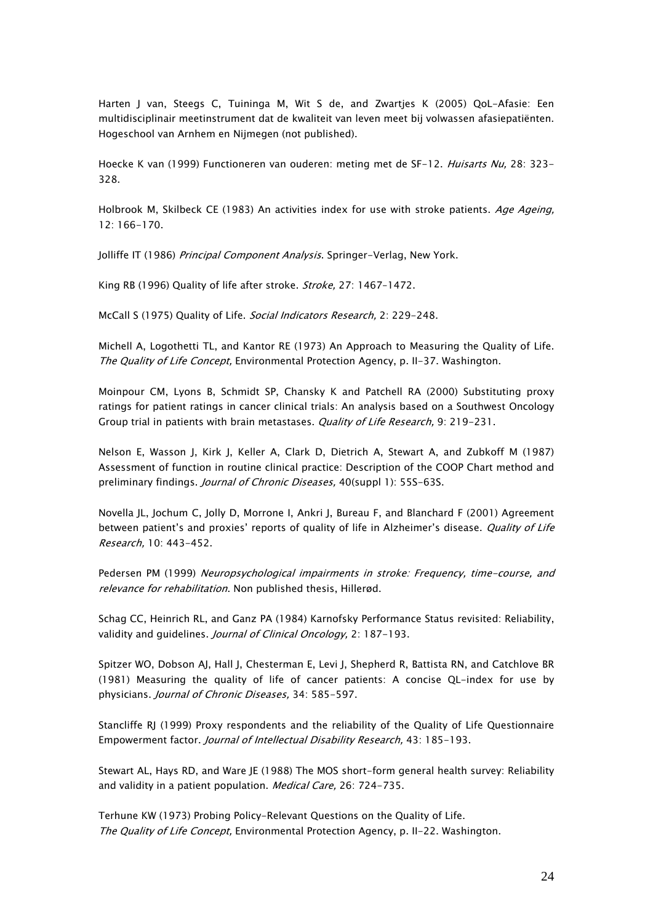Harten J van, Steegs C, Tuininga M, Wit S de, and Zwartjes K (2005) QoL-Afasie: Een multidisciplinair meetinstrument dat de kwaliteit van leven meet bij volwassen afasiepatiënten. Hogeschool van Arnhem en Nijmegen (not published).

Hoecke K van (1999) Functioneren van ouderen: meting met de SF-12. Huisarts Nu, 28: 323-328.

Holbrook M, Skilbeck CE (1983) An activities index for use with stroke patients. Age Ageing, 12: 166-170.

Jolliffe IT (1986) Principal Component Analysis. Springer-Verlag, New York.

King RB (1996) Quality of life after stroke. Stroke, 27: 1467-1472.

McCall S (1975) Quality of Life. Social Indicators Research, 2: 229-248.

Michell A, Logothetti TL, and Kantor RE (1973) An Approach to Measuring the Quality of Life. The Quality of Life Concept, Environmental Protection Agency, p. II-37. Washington.

Moinpour CM, Lyons B, Schmidt SP, Chansky K and Patchell RA (2000) Substituting proxy ratings for patient ratings in cancer clinical trials: An analysis based on a Southwest Oncology Group trial in patients with brain metastases. Quality of Life Research, 9: 219-231.

Nelson E, Wasson J, Kirk J, Keller A, Clark D, Dietrich A, Stewart A, and Zubkoff M (1987) Assessment of function in routine clinical practice: Description of the COOP Chart method and preliminary findings. Journal of Chronic Diseases, 40(suppl 1): 55S-63S.

Novella JL, Jochum C, Jolly D, Morrone I, Ankri J, Bureau F, and Blanchard F (2001) Agreement between patient's and proxies' reports of quality of life in Alzheimer's disease. Quality of Life Research, 10: 443-452.

Pedersen PM (1999) Neuropsychological impairments in stroke: Frequency, time-course, and relevance for rehabilitation. Non published thesis, Hillerød.

Schag CC, Heinrich RL, and Ganz PA (1984) Karnofsky Performance Status revisited: Reliability, validity and quidelines. *Journal of Clinical Oncology*, 2: 187-193.

Spitzer WO, Dobson AJ, Hall J, Chesterman E, Levi J, Shepherd R, Battista RN, and Catchlove BR (1981) Measuring the quality of life of cancer patients: A concise QL-index for use by physicians. Journal of Chronic Diseases, 34: 585-597.

Stancliffe RJ (1999) Proxy respondents and the reliability of the Quality of Life Questionnaire Empowerment factor. Journal of Intellectual Disability Research, 43: 185-193.

Stewart AL, Hays RD, and Ware JE (1988) The MOS short-form general health survey: Reliability and validity in a patient population. Medical Care, 26: 724-735.

Terhune KW (1973) Probing Policy-Relevant Questions on the Quality of Life. The Quality of Life Concept, Environmental Protection Agency, p. II-22. Washington.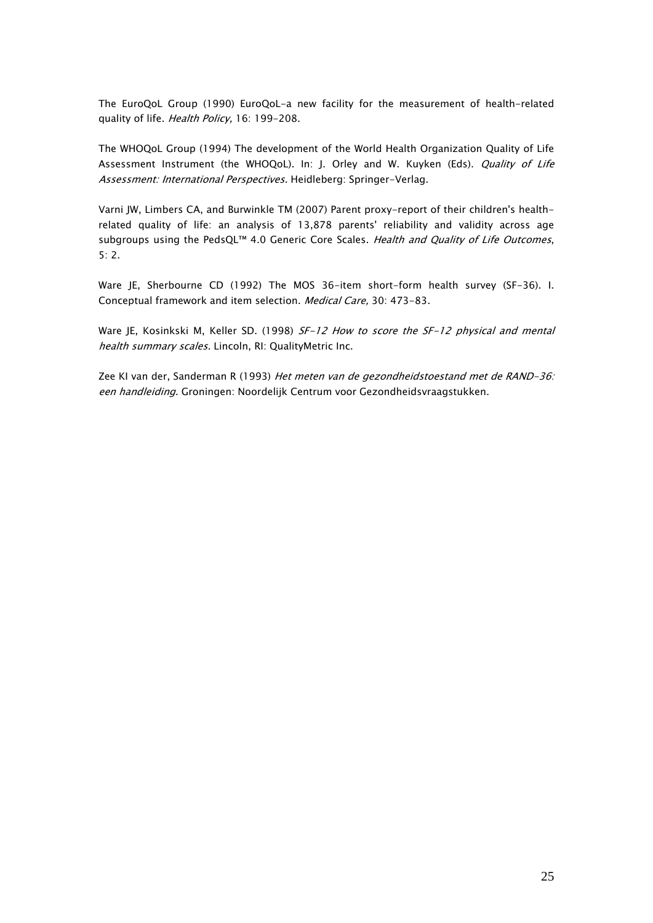The EuroQoL Group (1990) EuroQoL-a new facility for the measurement of health-related quality of life. Health Policy, 16: 199-208.

The WHOQoL Group (1994) The development of the World Health Organization Quality of Life Assessment Instrument (the WHOQoL). In: J. Orley and W. Kuyken (Eds). Quality of Life Assessment: International Perspectives. Heidleberg: Springer-Verlag.

Varni JW, Limbers CA, and Burwinkle TM (2007) Parent proxy-report of their children's healthrelated quality of life: an analysis of 13,878 parents' reliability and validity across age subgroups using the PedsQL™ 4.0 Generic Core Scales. Health and Quality of Life Outcomes, 5: 2.

Ware JE, Sherbourne CD (1992) The MOS 36-item short-form health survey (SF-36). I. Conceptual framework and item selection. Medical Care, 30: 473-83.

Ware JE, Kosinkski M, Keller SD. (1998) SF-12 How to score the SF-12 physical and mental health summary scales. Lincoln, RI: QualityMetric Inc.

Zee KI van der, Sanderman R (1993) Het meten van de gezondheidstoestand met de RAND-36: een handleiding. Groningen: Noordelijk Centrum voor Gezondheidsvraagstukken.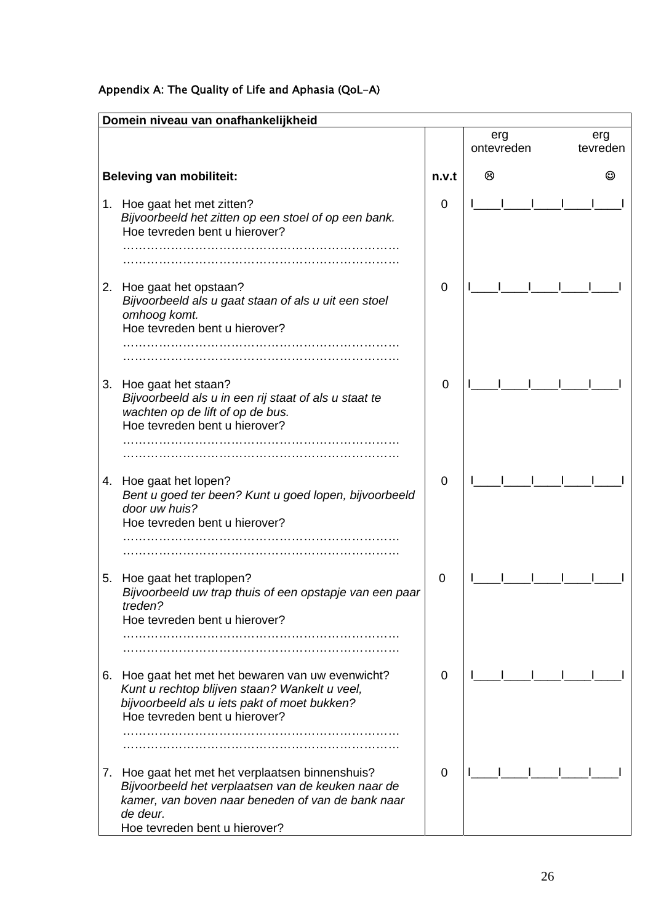# Appendix A: The Quality of Life and Aphasia (QoL-A)

|    | Domein niveau van onafhankelijkheid                                                                                                                                                                   |             |                   |                 |
|----|-------------------------------------------------------------------------------------------------------------------------------------------------------------------------------------------------------|-------------|-------------------|-----------------|
|    |                                                                                                                                                                                                       |             | erg<br>ontevreden | erg<br>tevreden |
|    | <b>Beleving van mobiliteit:</b>                                                                                                                                                                       | n.v.t       | ⊗                 | ☺               |
| 1. | Hoe gaat het met zitten?<br>Bijvoorbeeld het zitten op een stoel of op een bank.<br>Hoe tevreden bent u hierover?                                                                                     | 0           |                   |                 |
| 2. | Hoe gaat het opstaan?<br>Bijvoorbeeld als u gaat staan of als u uit een stoel<br>omhoog komt.<br>Hoe tevreden bent u hierover?                                                                        | 0           |                   |                 |
|    |                                                                                                                                                                                                       |             |                   |                 |
| 3. | Hoe gaat het staan?<br>Bijvoorbeeld als u in een rij staat of als u staat te<br>wachten op de lift of op de bus.<br>Hoe tevreden bent u hierover?                                                     | $\mathbf 0$ |                   |                 |
| 4. | Hoe gaat het lopen?<br>Bent u goed ter been? Kunt u goed lopen, bijvoorbeeld<br>door uw huis?<br>Hoe tevreden bent u hierover?                                                                        | 0           |                   |                 |
| 5. | Hoe gaat het traplopen?<br>Bijvoorbeeld uw trap thuis of een opstapje van een paar<br>treden?<br>Hoe tevreden bent u hierover?                                                                        | 0           |                   |                 |
| 6. | Hoe gaat het met het bewaren van uw evenwicht?<br>Kunt u rechtop blijven staan? Wankelt u veel,<br>bijvoorbeeld als u iets pakt of moet bukken?<br>Hoe tevreden bent u hierover?                      | 0           |                   |                 |
| 7. | Hoe gaat het met het verplaatsen binnenshuis?<br>Bijvoorbeeld het verplaatsen van de keuken naar de<br>kamer, van boven naar beneden of van de bank naar<br>de deur.<br>Hoe tevreden bent u hierover? | 0           |                   |                 |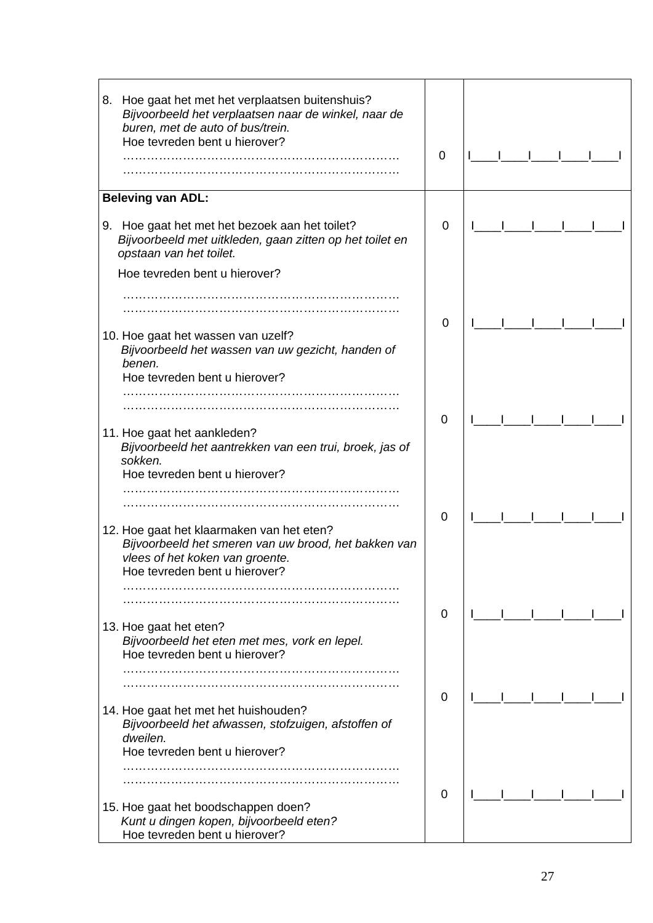| Hoe gaat het met het verplaatsen buitenshuis?<br>8.<br>Bijvoorbeeld het verplaatsen naar de winkel, naar de<br>buren, met de auto of bus/trein.<br>Hoe tevreden bent u hierover? | 0           |  |
|----------------------------------------------------------------------------------------------------------------------------------------------------------------------------------|-------------|--|
| <b>Beleving van ADL:</b>                                                                                                                                                         |             |  |
| 9. Hoe gaat het met het bezoek aan het toilet?<br>Bijvoorbeeld met uitkleden, gaan zitten op het toilet en<br>opstaan van het toilet.                                            | 0           |  |
| Hoe tevreden bent u hierover?                                                                                                                                                    |             |  |
| 10. Hoe gaat het wassen van uzelf?<br>Bijvoorbeeld het wassen van uw gezicht, handen of                                                                                          | $\mathbf 0$ |  |
| benen.<br>Hoe tevreden bent u hierover?                                                                                                                                          |             |  |
| 11. Hoe gaat het aankleden?                                                                                                                                                      | $\mathbf 0$ |  |
| Bijvoorbeeld het aantrekken van een trui, broek, jas of<br>sokken.<br>Hoe tevreden bent u hierover?                                                                              |             |  |
|                                                                                                                                                                                  |             |  |
| 12. Hoe gaat het klaarmaken van het eten?<br>Bijvoorbeeld het smeren van uw brood, het bakken van<br>vlees of het koken van groente.<br>Hoe tevreden bent u hierover?            | 0           |  |
|                                                                                                                                                                                  |             |  |
| 13. Hoe gaat het eten?<br>Bijvoorbeeld het eten met mes, vork en lepel.                                                                                                          | 0           |  |
| Hoe tevreden bent u hierover?                                                                                                                                                    |             |  |
|                                                                                                                                                                                  | $\mathbf 0$ |  |
| 14. Hoe gaat het met het huishouden?<br>Bijvoorbeeld het afwassen, stofzuigen, afstoffen of<br>dweilen.                                                                          |             |  |
| Hoe tevreden bent u hierover?                                                                                                                                                    |             |  |
|                                                                                                                                                                                  |             |  |
| 15. Hoe gaat het boodschappen doen?<br>Kunt u dingen kopen, bijvoorbeeld eten?<br>Hoe tevreden bent u hierover?                                                                  | 0           |  |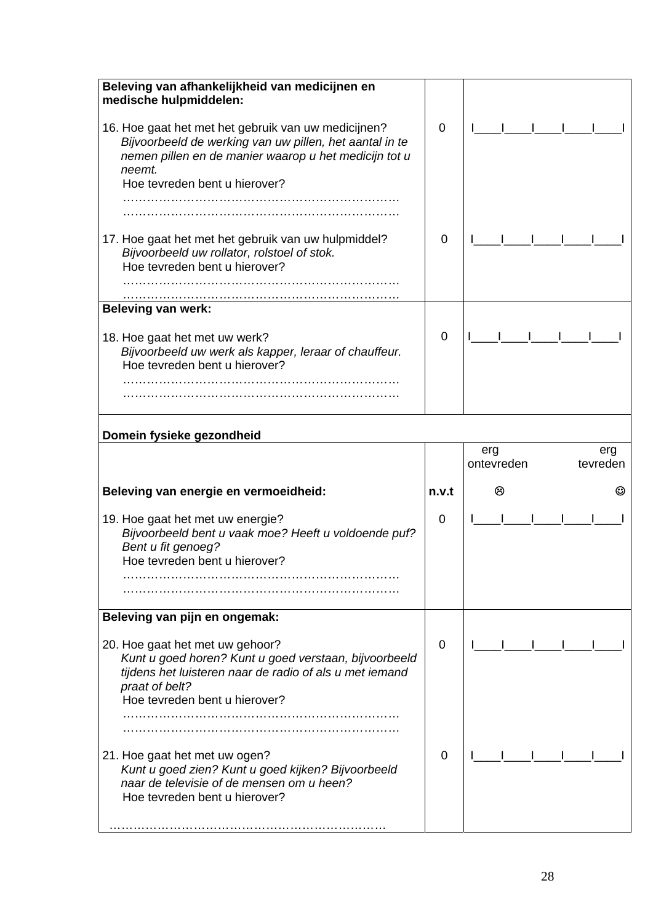| Beleving van afhankelijkheid van medicijnen en<br>medische hulpmiddelen:                                                                                                                                           |       |                        |
|--------------------------------------------------------------------------------------------------------------------------------------------------------------------------------------------------------------------|-------|------------------------|
| 16. Hoe gaat het met het gebruik van uw medicijnen?<br>Bijvoorbeeld de werking van uw pillen, het aantal in te<br>nemen pillen en de manier waarop u het medicijn tot u<br>neemt.<br>Hoe tevreden bent u hierover? | 0     |                        |
|                                                                                                                                                                                                                    |       |                        |
|                                                                                                                                                                                                                    |       |                        |
| 17. Hoe gaat het met het gebruik van uw hulpmiddel?<br>Bijvoorbeeld uw rollator, rolstoel of stok.<br>Hoe tevreden bent u hierover?                                                                                | 0     |                        |
|                                                                                                                                                                                                                    |       |                        |
| <b>Beleving van werk:</b>                                                                                                                                                                                          |       |                        |
| 18. Hoe gaat het met uw werk?<br>Bijvoorbeeld uw werk als kapper, leraar of chauffeur.<br>Hoe tevreden bent u hierover?                                                                                            | 0     |                        |
| Domein fysieke gezondheid                                                                                                                                                                                          |       |                        |
|                                                                                                                                                                                                                    |       | erg<br>erg             |
|                                                                                                                                                                                                                    |       | ontevreden<br>tevreden |
| Beleving van energie en vermoeidheid:                                                                                                                                                                              | n.v.t | ම<br>☺                 |
| 19. Hoe gaat het met uw energie?<br>Bijvoorbeeld bent u vaak moe? Heeft u voldoende puf?<br>Bent u fit genoeg?<br>Hoe tevreden bent u hierover?                                                                    | 0     |                        |
| Beleving van pijn en ongemak:                                                                                                                                                                                      |       |                        |
| 20. Hoe gaat het met uw gehoor?<br>Kunt u goed horen? Kunt u goed verstaan, bijvoorbeeld<br>tijdens het luisteren naar de radio of als u met iemand<br>praat of belt?                                              | 0     |                        |
| Hoe tevreden bent u hierover?                                                                                                                                                                                      |       |                        |
|                                                                                                                                                                                                                    |       |                        |
| 21. Hoe gaat het met uw ogen?<br>Kunt u goed zien? Kunt u goed kijken? Bijvoorbeeld<br>naar de televisie of de mensen om u heen?<br>Hoe tevreden bent u hierover?                                                  | 0     |                        |
|                                                                                                                                                                                                                    |       |                        |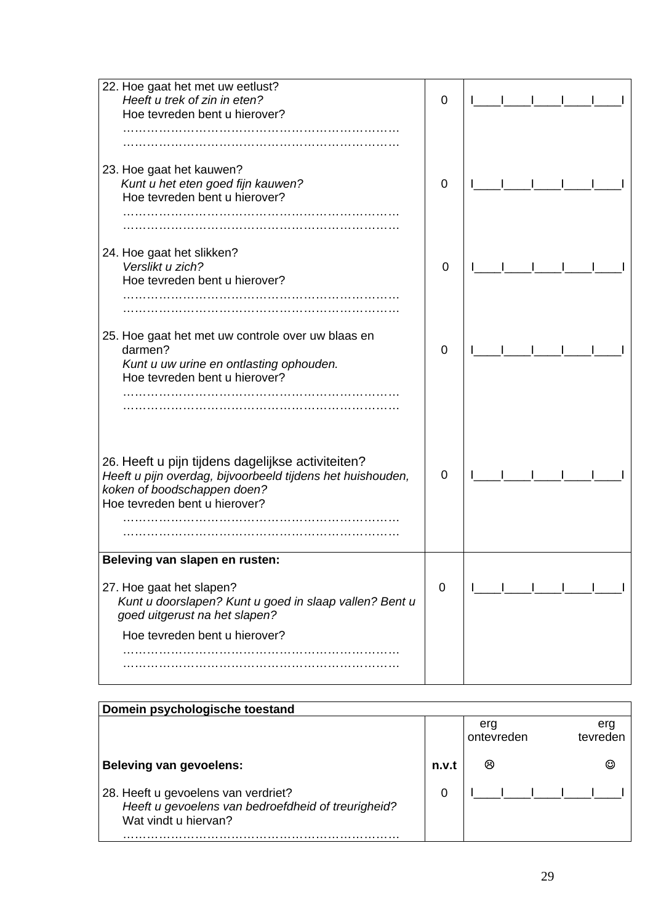| 22. Hoe gaat het met uw eetlust?                             |             |  |
|--------------------------------------------------------------|-------------|--|
| Heeft u trek of zin in eten?                                 | 0           |  |
| Hoe tevreden bent u hierover?                                |             |  |
|                                                              |             |  |
|                                                              |             |  |
| 23. Hoe gaat het kauwen?                                     |             |  |
| Kunt u het eten goed fijn kauwen?                            | 0           |  |
| Hoe tevreden bent u hierover?                                |             |  |
|                                                              |             |  |
|                                                              |             |  |
|                                                              |             |  |
| 24. Hoe gaat het slikken?                                    |             |  |
| Verslikt u zich?                                             | $\mathbf 0$ |  |
| Hoe tevreden bent u hierover?                                |             |  |
|                                                              |             |  |
|                                                              |             |  |
| 25. Hoe gaat het met uw controle over uw blaas en<br>darmen? |             |  |
|                                                              | 0           |  |
| Kunt u uw urine en ontlasting ophouden.                      |             |  |
| Hoe tevreden bent u hierover?                                |             |  |
|                                                              |             |  |
|                                                              |             |  |
|                                                              |             |  |
|                                                              |             |  |
|                                                              |             |  |
| 26. Heeft u pijn tijdens dagelijkse activiteiten?            |             |  |
| Heeft u pijn overdag, bijvoorbeeld tijdens het huishouden,   | 0           |  |
| koken of boodschappen doen?                                  |             |  |
| Hoe tevreden bent u hierover?                                |             |  |
|                                                              |             |  |
|                                                              |             |  |
|                                                              |             |  |
| Beleving van slapen en rusten:                               |             |  |
|                                                              |             |  |
| 27. Hoe gaat het slapen?                                     | 0           |  |
| Kunt u doorslapen? Kunt u goed in slaap vallen? Bent u       |             |  |
| goed uitgerust na het slapen?                                |             |  |
| Hoe tevreden bent u hierover?                                |             |  |
|                                                              |             |  |
|                                                              |             |  |
|                                                              |             |  |

| Domein psychologische toestand                                                                                    |       |                   |                 |
|-------------------------------------------------------------------------------------------------------------------|-------|-------------------|-----------------|
|                                                                                                                   |       | erg<br>ontevreden | erg<br>tevreden |
| <b>Beleving van gevoelens:</b>                                                                                    | n.v.t | ගි                |                 |
| 28. Heeft u gevoelens van verdriet?<br>Heeft u gevoelens van bedroefdheid of treurigheid?<br>Wat vindt u hiervan? | 0     |                   |                 |
|                                                                                                                   |       |                   |                 |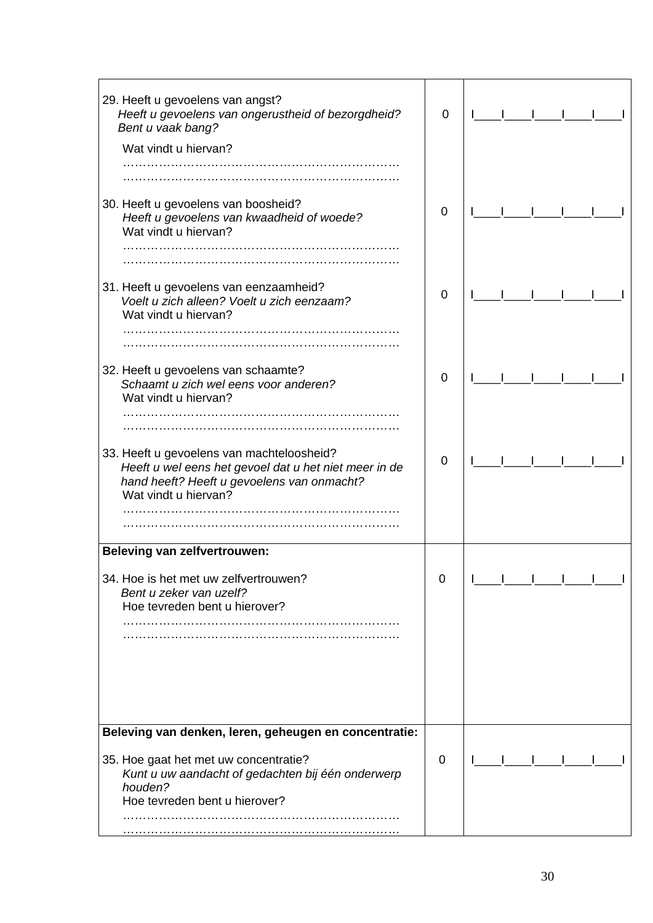| 29. Heeft u gevoelens van angst?<br>Heeft u gevoelens van ongerustheid of bezorgdheid?<br>Bent u vaak bang?                                                              | 0           |  |  |  |
|--------------------------------------------------------------------------------------------------------------------------------------------------------------------------|-------------|--|--|--|
| Wat vindt u hiervan?                                                                                                                                                     |             |  |  |  |
|                                                                                                                                                                          |             |  |  |  |
|                                                                                                                                                                          |             |  |  |  |
| 30. Heeft u gevoelens van boosheid?<br>Heeft u gevoelens van kwaadheid of woede?<br>Wat vindt u hiervan?                                                                 | $\mathbf 0$ |  |  |  |
|                                                                                                                                                                          |             |  |  |  |
|                                                                                                                                                                          |             |  |  |  |
| 31. Heeft u gevoelens van eenzaamheid?<br>Voelt u zich alleen? Voelt u zich eenzaam?<br>Wat vindt u hiervan?                                                             | 0           |  |  |  |
|                                                                                                                                                                          |             |  |  |  |
|                                                                                                                                                                          |             |  |  |  |
| 32. Heeft u gevoelens van schaamte?<br>Schaamt u zich wel eens voor anderen?<br>Wat vindt u hiervan?                                                                     | 0           |  |  |  |
|                                                                                                                                                                          |             |  |  |  |
|                                                                                                                                                                          |             |  |  |  |
| 33. Heeft u gevoelens van machteloosheid?<br>Heeft u wel eens het gevoel dat u het niet meer in de<br>hand heeft? Heeft u gevoelens van onmacht?<br>Wat vindt u hiervan? | $\mathbf 0$ |  |  |  |
|                                                                                                                                                                          |             |  |  |  |
|                                                                                                                                                                          |             |  |  |  |
| <b>Beleving van zelfvertrouwen:</b>                                                                                                                                      |             |  |  |  |
|                                                                                                                                                                          |             |  |  |  |
| 34. Hoe is het met uw zelfvertrouwen?<br>Bent u zeker van uzelf?<br>Hoe tevreden bent u hierover?                                                                        | 0           |  |  |  |
|                                                                                                                                                                          |             |  |  |  |
|                                                                                                                                                                          |             |  |  |  |
| Beleving van denken, leren, geheugen en concentratie:                                                                                                                    |             |  |  |  |
| 35. Hoe gaat het met uw concentratie?<br>Kunt u uw aandacht of gedachten bij één onderwerp<br>houden?<br>Hoe tevreden bent u hierover?                                   | 0           |  |  |  |
|                                                                                                                                                                          |             |  |  |  |
|                                                                                                                                                                          |             |  |  |  |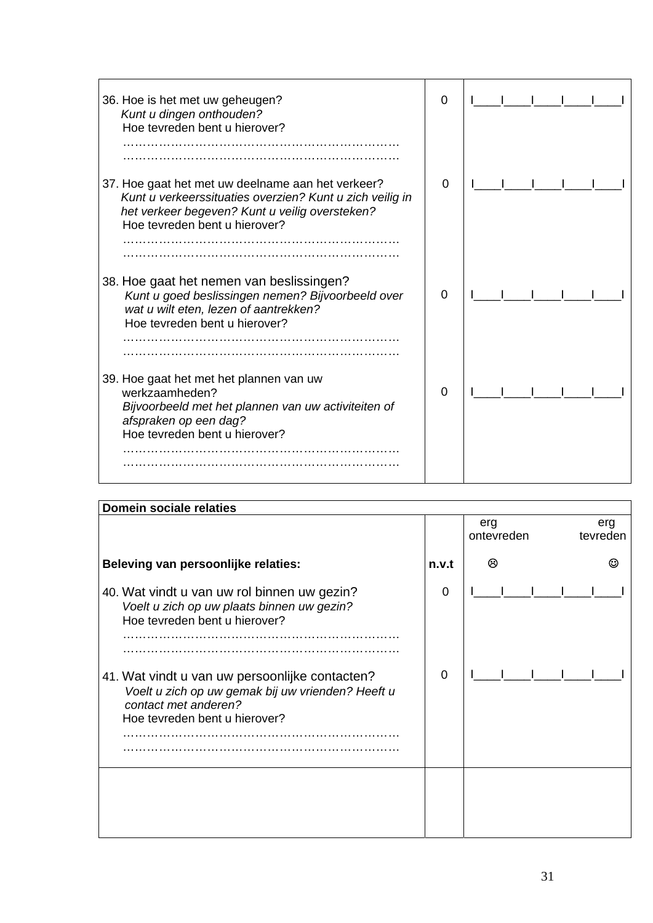| 36. Hoe is het met uw geheugen?<br>Kunt u dingen onthouden?<br>Hoe tevreden bent u hierover?                                                                                                     | 0 |  |
|--------------------------------------------------------------------------------------------------------------------------------------------------------------------------------------------------|---|--|
| 37. Hoe gaat het met uw deelname aan het verkeer?<br>Kunt u verkeerssituaties overzien? Kunt u zich veilig in<br>het verkeer begeven? Kunt u veilig oversteken?<br>Hoe tevreden bent u hierover? | 0 |  |
| 38. Hoe gaat het nemen van beslissingen?<br>Kunt u goed beslissingen nemen? Bijvoorbeeld over<br>wat u wilt eten, lezen of aantrekken?<br>Hoe tevreden bent u hierover?                          | 0 |  |
| 39. Hoe gaat het met het plannen van uw<br>werkzaamheden?<br>Bijvoorbeeld met het plannen van uw activiteiten of<br>afspraken op een dag?<br>Hoe tevreden bent u hierover?                       | 0 |  |
|                                                                                                                                                                                                  |   |  |

| <b>Domein sociale relaties</b>                                                                                                                               |       |                   |                 |
|--------------------------------------------------------------------------------------------------------------------------------------------------------------|-------|-------------------|-----------------|
|                                                                                                                                                              |       | erg<br>ontevreden | erg<br>tevreden |
| Beleving van persoonlijke relaties:                                                                                                                          | n.v.t | ణ                 |                 |
| 40. Wat vindt u van uw rol binnen uw gezin?<br>Voelt u zich op uw plaats binnen uw gezin?<br>Hoe tevreden bent u hierover?                                   | 0     |                   |                 |
| 41. Wat vindt u van uw persoonlijke contacten?<br>Voelt u zich op uw gemak bij uw vrienden? Heeft u<br>contact met anderen?<br>Hoe tevreden bent u hierover? | 0     |                   |                 |
|                                                                                                                                                              |       |                   |                 |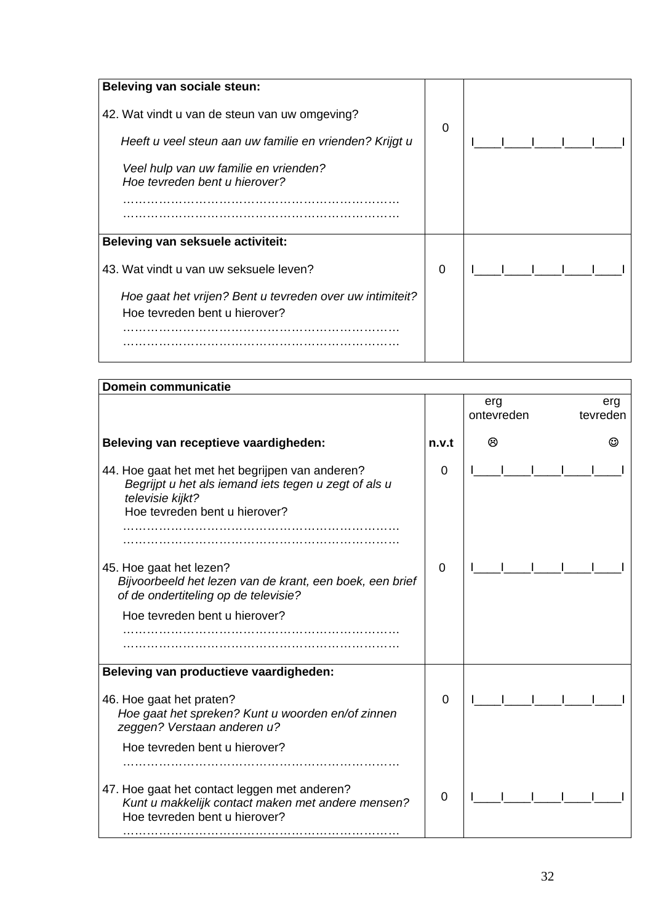| Beleving van sociale steun:                                            |                |  |
|------------------------------------------------------------------------|----------------|--|
| 42. Wat vindt u van de steun van uw omgeving?                          | $\overline{0}$ |  |
| Heeft u veel steun aan uw familie en vrienden? Krijgt u                |                |  |
| Veel hulp van uw familie en vrienden?<br>Hoe tevreden bent u hierover? |                |  |
|                                                                        |                |  |
| Beleving van seksuele activiteit:                                      |                |  |
| 43. Wat vindt u van uw seksuele leven?                                 | 0              |  |
| Hoe gaat het vrijen? Bent u tevreden over uw intimiteit?               |                |  |
| Hoe tevreden bent u hierover?                                          |                |  |
|                                                                        |                |  |

| <b>Domein communicatie</b>                                                                                                                                   |       |                   |                 |
|--------------------------------------------------------------------------------------------------------------------------------------------------------------|-------|-------------------|-----------------|
|                                                                                                                                                              |       | erg<br>ontevreden | erg<br>tevreden |
| Beleving van receptieve vaardigheden:                                                                                                                        | n.v.t | ⊗                 |                 |
| 44. Hoe gaat het met het begrijpen van anderen?<br>Begrijpt u het als iemand iets tegen u zegt of als u<br>televisie kijkt?<br>Hoe tevreden bent u hierover? | 0     |                   |                 |
| 45. Hoe gaat het lezen?<br>Bijvoorbeeld het lezen van de krant, een boek, een brief<br>of de ondertiteling op de televisie?                                  | 0     |                   |                 |
| Hoe tevreden bent u hierover?                                                                                                                                |       |                   |                 |
| Beleving van productieve vaardigheden:                                                                                                                       |       |                   |                 |
| 46. Hoe gaat het praten?<br>Hoe gaat het spreken? Kunt u woorden en/of zinnen<br>zeggen? Verstaan anderen u?                                                 | 0     |                   |                 |
| Hoe tevreden bent u hierover?                                                                                                                                |       |                   |                 |
| 47. Hoe gaat het contact leggen met anderen?<br>Kunt u makkelijk contact maken met andere mensen?<br>Hoe tevreden bent u hierover?                           | 0     |                   |                 |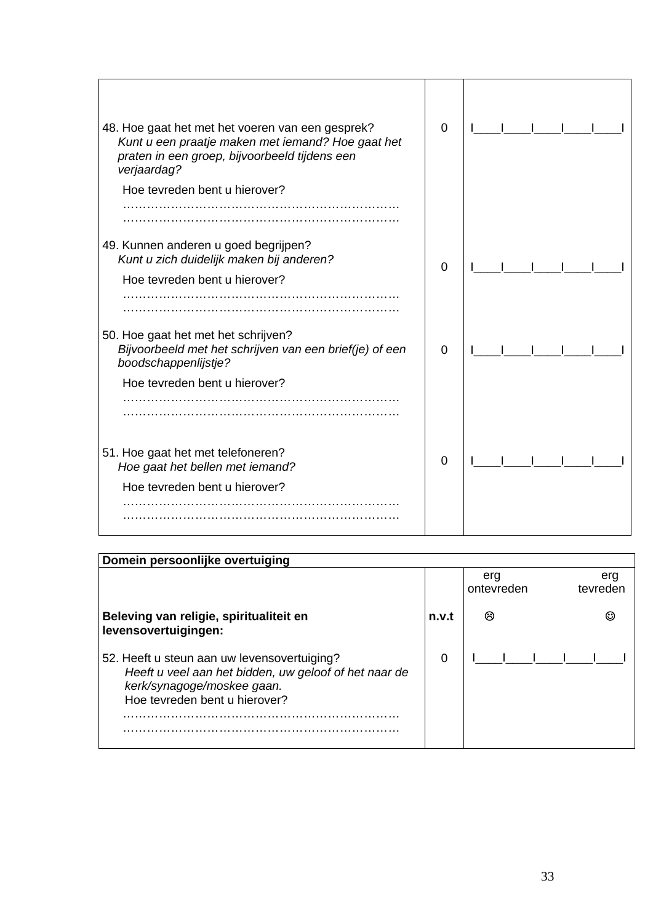| 48. Hoe gaat het met het voeren van een gesprek?<br>Kunt u een praatje maken met iemand? Hoe gaat het<br>praten in een groep, bijvoorbeeld tijdens een<br>verjaardag?<br>Hoe tevreden bent u hierover? | 0        |  |
|--------------------------------------------------------------------------------------------------------------------------------------------------------------------------------------------------------|----------|--|
|                                                                                                                                                                                                        |          |  |
| 49. Kunnen anderen u goed begrijpen?<br>Kunt u zich duidelijk maken bij anderen?<br>Hoe tevreden bent u hierover?                                                                                      | $\Omega$ |  |
| 50. Hoe gaat het met het schrijven?<br>Bijvoorbeeld met het schrijven van een brief(je) of een<br>boodschappenlijstje?                                                                                 | $\Omega$ |  |
| Hoe tevreden bent u hierover?                                                                                                                                                                          |          |  |
| 51. Hoe gaat het met telefoneren?<br>Hoe gaat het bellen met iemand?                                                                                                                                   | 0        |  |
| Hoe tevreden bent u hierover?                                                                                                                                                                          |          |  |

| Domein persoonlijke overtuiging                                                                                                                                     |       |                   |                 |
|---------------------------------------------------------------------------------------------------------------------------------------------------------------------|-------|-------------------|-----------------|
|                                                                                                                                                                     |       | erg<br>ontevreden | erg<br>tevreden |
| Beleving van religie, spiritualiteit en<br>levensovertuigingen:                                                                                                     | n.v.t | ශ                 |                 |
| 52. Heeft u steun aan uw levensovertuiging?<br>Heeft u veel aan het bidden, uw geloof of het naar de<br>kerk/synagoge/moskee gaan.<br>Hoe tevreden bent u hierover? | 0     |                   |                 |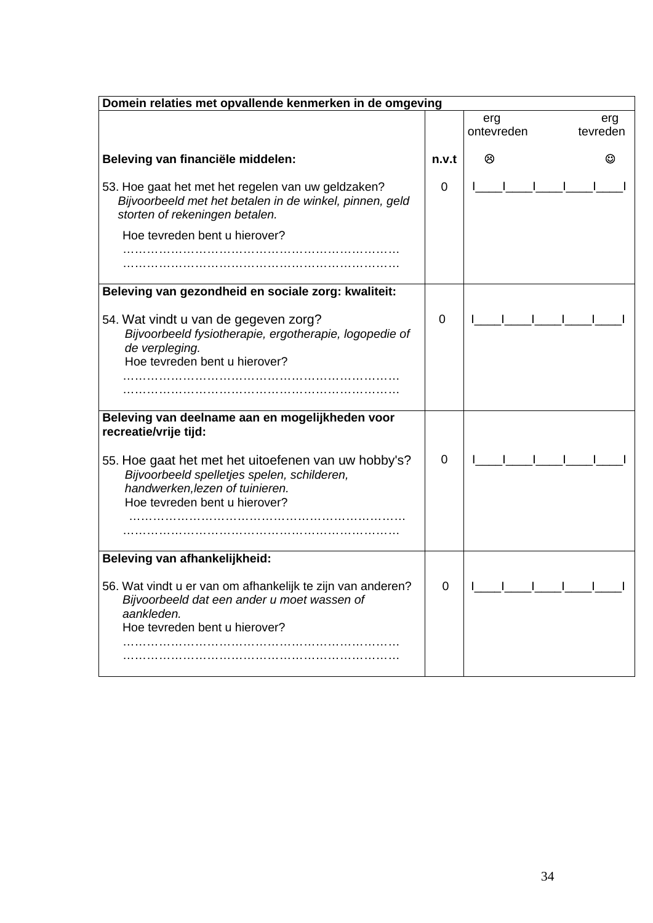| Domein relaties met opvallende kenmerken in de omgeving                                                                                                                |       |                   |                 |
|------------------------------------------------------------------------------------------------------------------------------------------------------------------------|-------|-------------------|-----------------|
|                                                                                                                                                                        |       | erg<br>ontevreden | erg<br>tevreden |
| Beleving van financiële middelen:                                                                                                                                      | n.v.t | ⊗                 |                 |
| 53. Hoe gaat het met het regelen van uw geldzaken?<br>Bijvoorbeeld met het betalen in de winkel, pinnen, geld<br>storten of rekeningen betalen.                        | 0     |                   |                 |
| Hoe tevreden bent u hierover?                                                                                                                                          |       |                   |                 |
|                                                                                                                                                                        |       |                   |                 |
| Beleving van gezondheid en sociale zorg: kwaliteit:                                                                                                                    |       |                   |                 |
| 54. Wat vindt u van de gegeven zorg?<br>Bijvoorbeeld fysiotherapie, ergotherapie, logopedie of<br>de verpleging.<br>Hoe tevreden bent u hierover?                      | 0     |                   |                 |
|                                                                                                                                                                        |       |                   |                 |
| Beleving van deelname aan en mogelijkheden voor<br>recreatie/vrije tijd:                                                                                               |       |                   |                 |
| 55. Hoe gaat het met het uitoefenen van uw hobby's?<br>Bijvoorbeeld spelletjes spelen, schilderen,<br>handwerken, lezen of tuinieren.<br>Hoe tevreden bent u hierover? | 0     |                   |                 |
| Beleving van afhankelijkheid:                                                                                                                                          |       |                   |                 |
| 56. Wat vindt u er van om afhankelijk te zijn van anderen?<br>Bijvoorbeeld dat een ander u moet wassen of<br>aankleden.<br>Hoe tevreden bent u hierover?               | 0     |                   |                 |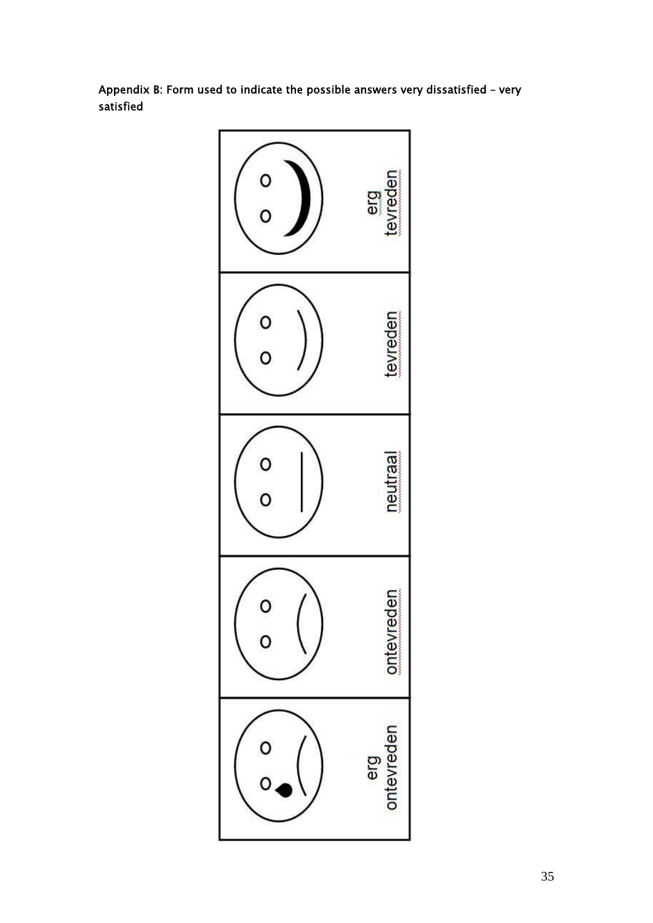Appendix B: Form used to indicate the possible answers very dissatisfied – very satisfied

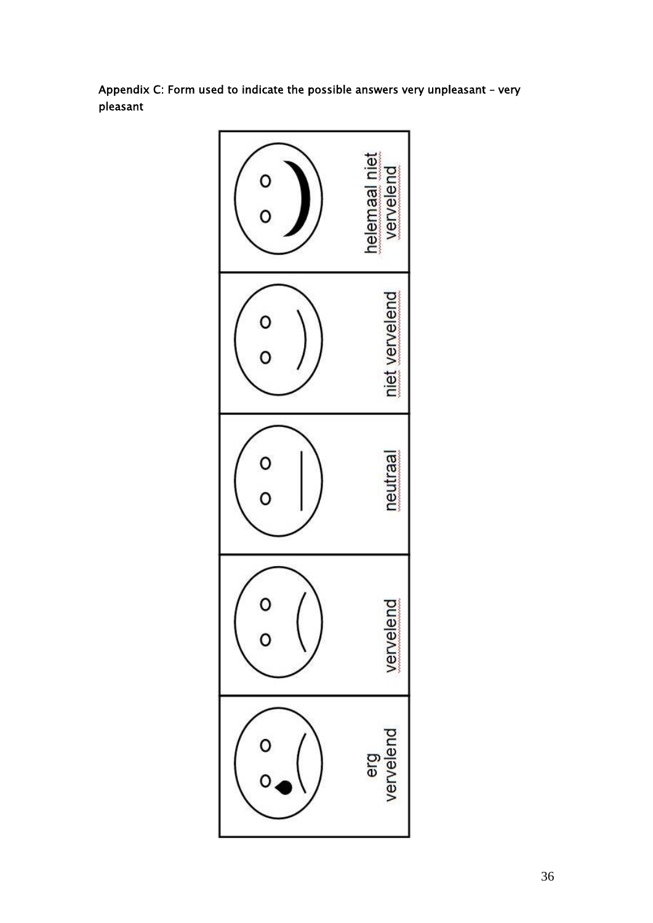Appendix C: Form used to indicate the possible answers very unpleasant – very pleasant

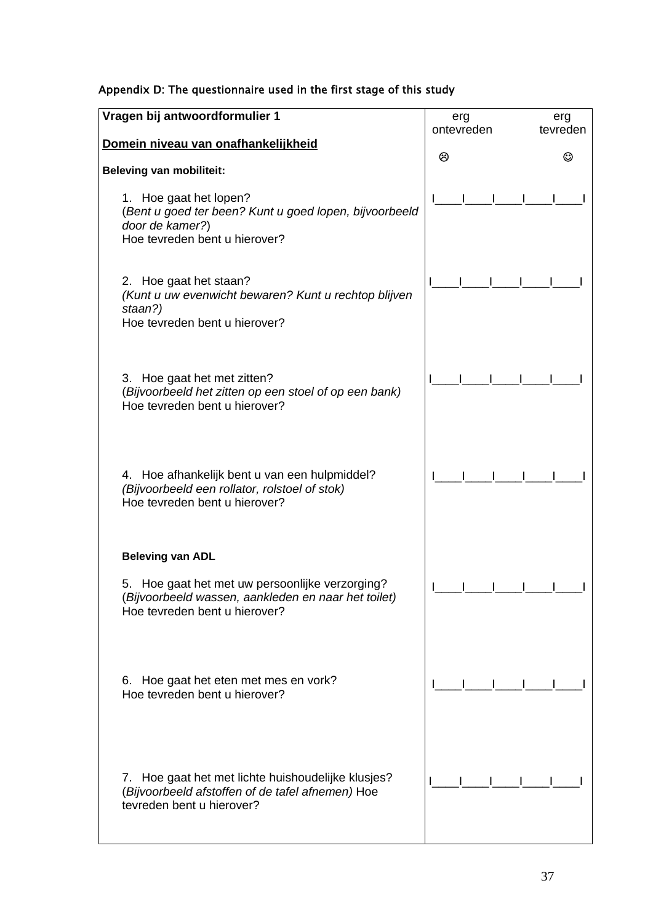|  |  | Appendix D: The questionnaire used in the first stage of this study |  |  |  |  |  |  |
|--|--|---------------------------------------------------------------------|--|--|--|--|--|--|
|--|--|---------------------------------------------------------------------|--|--|--|--|--|--|

| Vragen bij antwoordformulier 1                                                                                                          | erg        | erg      |
|-----------------------------------------------------------------------------------------------------------------------------------------|------------|----------|
|                                                                                                                                         | ontevreden | tevreden |
| Domein niveau van onafhankelijkheid                                                                                                     | ම          | ⊙        |
| <b>Beleving van mobiliteit:</b>                                                                                                         |            |          |
| 1. Hoe gaat het lopen?<br>(Bent u goed ter been? Kunt u goed lopen, bijvoorbeeld<br>door de kamer?)<br>Hoe tevreden bent u hierover?    |            |          |
| 2. Hoe gaat het staan?<br>(Kunt u uw evenwicht bewaren? Kunt u rechtop blijven<br>staan?)<br>Hoe tevreden bent u hierover?              |            |          |
| 3. Hoe gaat het met zitten?<br>(Bijvoorbeeld het zitten op een stoel of op een bank)<br>Hoe tevreden bent u hierover?                   |            |          |
| 4. Hoe afhankelijk bent u van een hulpmiddel?<br>(Bijvoorbeeld een rollator, rolstoel of stok)<br>Hoe tevreden bent u hierover?         |            |          |
| <b>Beleving van ADL</b>                                                                                                                 |            |          |
| 5. Hoe gaat het met uw persoonlijke verzorging?<br>(Bijvoorbeeld wassen, aankleden en naar het toilet)<br>Hoe tevreden bent u hierover? |            |          |
| 6. Hoe gaat het eten met mes en vork?<br>Hoe tevreden bent u hierover?                                                                  |            |          |
| 7. Hoe gaat het met lichte huishoudelijke klusjes?<br>(Bijvoorbeeld afstoffen of de tafel afnemen) Hoe<br>tevreden bent u hierover?     |            |          |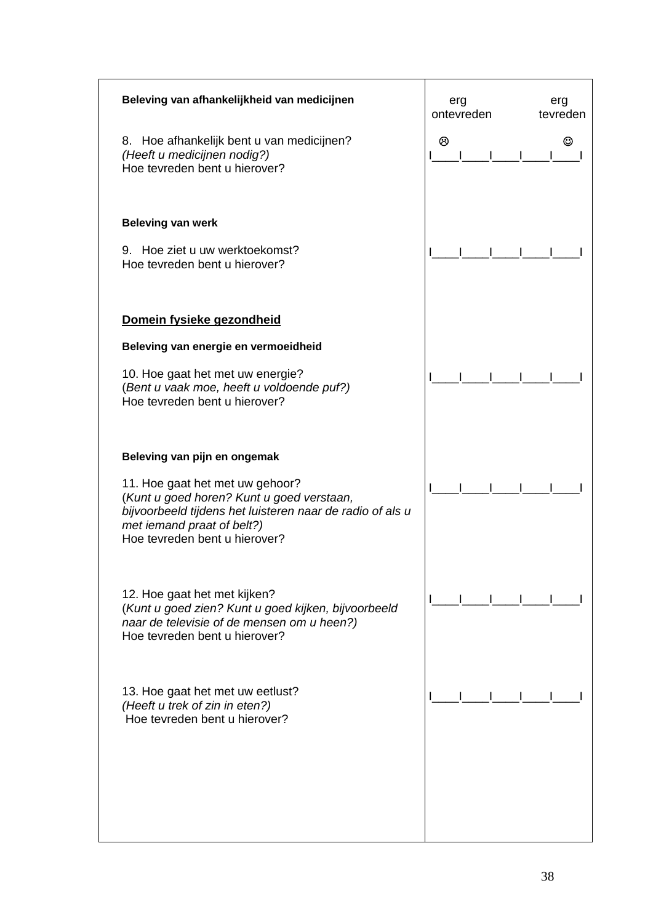| Beleving van afhankelijkheid van medicijnen                                                                                                                                                              | erg<br>ontevreden | erg<br>tevreden |
|----------------------------------------------------------------------------------------------------------------------------------------------------------------------------------------------------------|-------------------|-----------------|
| 8. Hoe afhankelijk bent u van medicijnen?<br>(Heeft u medicijnen nodig?)<br>Hoe tevreden bent u hierover?                                                                                                | ම                 | ☺               |
| <b>Beleving van werk</b>                                                                                                                                                                                 |                   |                 |
| 9. Hoe ziet u uw werktoekomst?<br>Hoe tevreden bent u hierover?                                                                                                                                          |                   |                 |
| Domein fysieke gezondheid                                                                                                                                                                                |                   |                 |
| Beleving van energie en vermoeidheid                                                                                                                                                                     |                   |                 |
| 10. Hoe gaat het met uw energie?<br>(Bent u vaak moe, heeft u voldoende puf?)<br>Hoe tevreden bent u hierover?                                                                                           |                   |                 |
| Beleving van pijn en ongemak                                                                                                                                                                             |                   |                 |
| 11. Hoe gaat het met uw gehoor?<br>(Kunt u goed horen? Kunt u goed verstaan,<br>bijvoorbeeld tijdens het luisteren naar de radio of als u<br>met iemand praat of belt?)<br>Hoe tevreden bent u hierover? |                   |                 |
| 12. Hoe gaat het met kijken?<br>(Kunt u goed zien? Kunt u goed kijken, bijvoorbeeld<br>naar de televisie of de mensen om u heen?)<br>Hoe tevreden bent u hierover?                                       |                   |                 |
| 13. Hoe gaat het met uw eetlust?<br>(Heeft u trek of zin in eten?)<br>Hoe tevreden bent u hierover?                                                                                                      |                   |                 |
|                                                                                                                                                                                                          |                   |                 |
|                                                                                                                                                                                                          |                   |                 |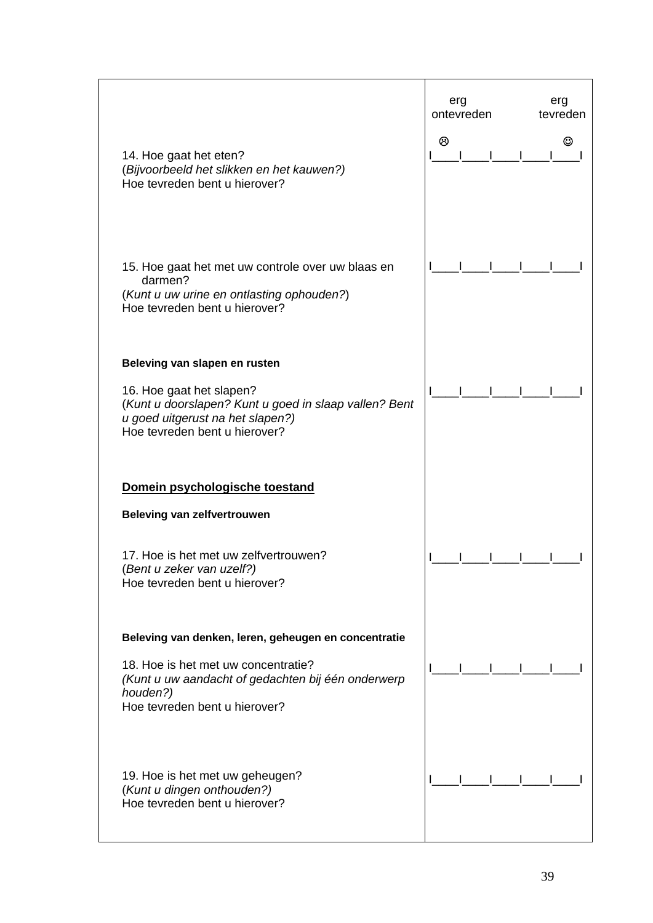|                                                                                                                                                        | erg<br>ontevreden | erg<br>tevreden |
|--------------------------------------------------------------------------------------------------------------------------------------------------------|-------------------|-----------------|
| 14. Hoe gaat het eten?<br>(Bijvoorbeeld het slikken en het kauwen?)<br>Hoe tevreden bent u hierover?                                                   | ම                 | ☺               |
| 15. Hoe gaat het met uw controle over uw blaas en<br>darmen?<br>(Kunt u uw urine en ontlasting ophouden?)<br>Hoe tevreden bent u hierover?             |                   |                 |
| Beleving van slapen en rusten                                                                                                                          |                   |                 |
| 16. Hoe gaat het slapen?<br>(Kunt u doorslapen? Kunt u goed in slaap vallen? Bent<br>u goed uitgerust na het slapen?)<br>Hoe tevreden bent u hierover? |                   |                 |
| Domein psychologische toestand                                                                                                                         |                   |                 |
| <b>Beleving van zelfvertrouwen</b>                                                                                                                     |                   |                 |
| 17. Hoe is het met uw zelfvertrouwen?<br>(Bent u zeker van uzelf?)<br>Hoe tevreden bent u hierover?                                                    |                   |                 |
| Beleving van denken, leren, geheugen en concentratie                                                                                                   |                   |                 |
| 18. Hoe is het met uw concentratie?<br>(Kunt u uw aandacht of gedachten bij één onderwerp<br>houden?)<br>Hoe tevreden bent u hierover?                 |                   |                 |
| 19. Hoe is het met uw geheugen?<br>(Kunt u dingen onthouden?)<br>Hoe tevreden bent u hierover?                                                         |                   |                 |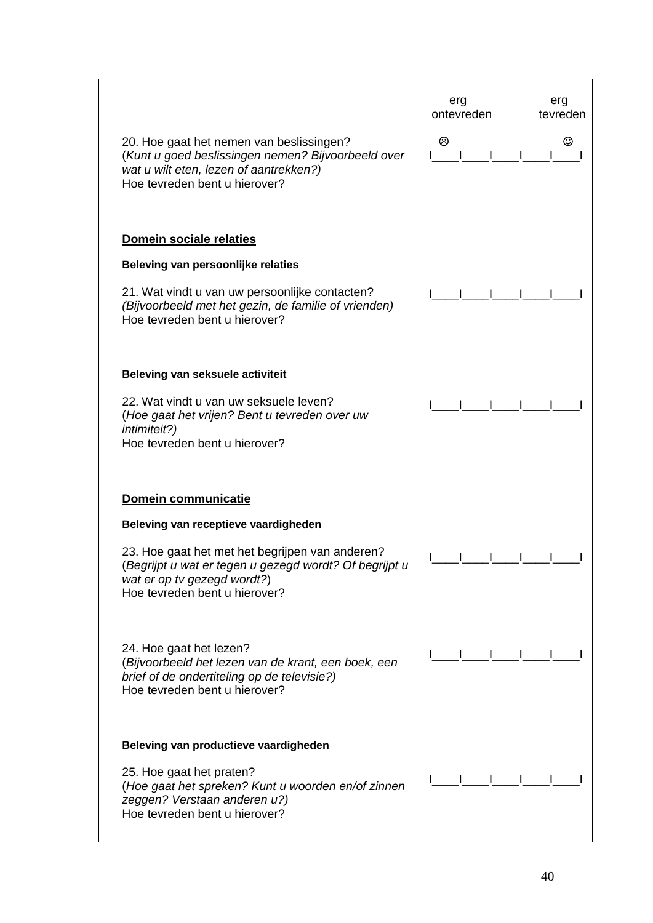| 20. Hoe gaat het nemen van beslissingen?<br>(Kunt u goed beslissingen nemen? Bijvoorbeeld over<br>wat u wilt eten, lezen of aantrekken?)<br>Hoe tevreden bent u hierover? | erg<br>ontevreden<br>ම | erg<br>tevreden<br>అ |
|---------------------------------------------------------------------------------------------------------------------------------------------------------------------------|------------------------|----------------------|
| Domein sociale relaties                                                                                                                                                   |                        |                      |
| Beleving van persoonlijke relaties                                                                                                                                        |                        |                      |
| 21. Wat vindt u van uw persoonlijke contacten?<br>(Bijvoorbeeld met het gezin, de familie of vrienden)<br>Hoe tevreden bent u hierover?                                   |                        |                      |
| Beleving van seksuele activiteit                                                                                                                                          |                        |                      |
| 22. Wat vindt u van uw seksuele leven?<br>(Hoe gaat het vrijen? Bent u tevreden over uw<br><i>intimiteit?)</i><br>Hoe tevreden bent u hierover?                           |                        |                      |
| Domein communicatie                                                                                                                                                       |                        |                      |
| Beleving van receptieve vaardigheden                                                                                                                                      |                        |                      |
| 23. Hoe gaat het met het begrijpen van anderen?<br>(Begrijpt u wat er tegen u gezegd wordt? Of begrijpt u<br>wat er op tv gezegd wordt?)<br>Hoe tevreden bent u hierover? |                        |                      |
| 24. Hoe gaat het lezen?<br>(Bijvoorbeeld het lezen van de krant, een boek, een<br>brief of de ondertiteling op de televisie?)<br>Hoe tevreden bent u hierover?            |                        |                      |
| Beleving van productieve vaardigheden                                                                                                                                     |                        |                      |
| 25. Hoe gaat het praten?<br>(Hoe gaat het spreken? Kunt u woorden en/of zinnen<br>zeggen? Verstaan anderen u?)<br>Hoe tevreden bent u hierover?                           |                        |                      |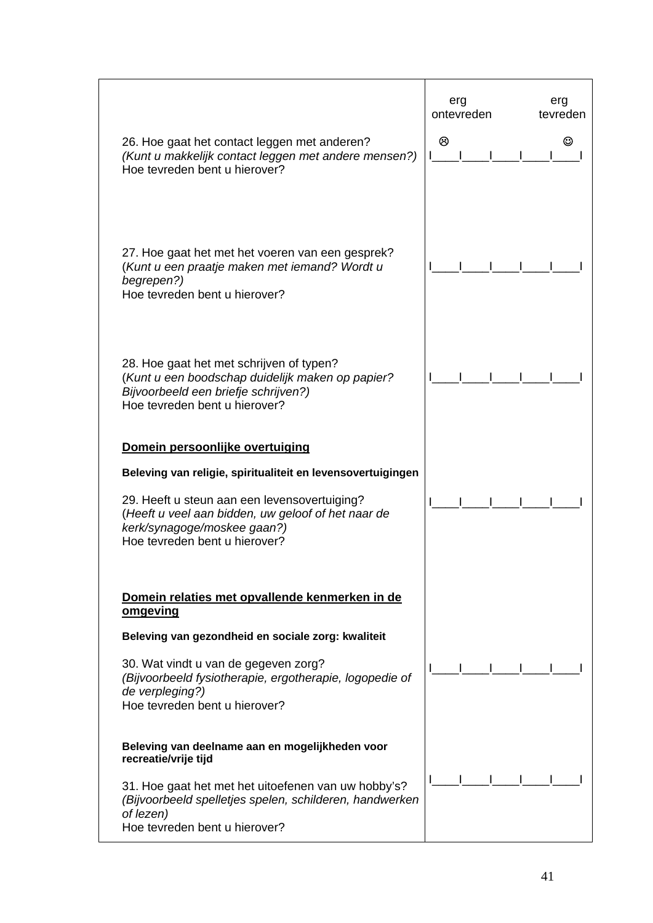| 26. Hoe gaat het contact leggen met anderen?<br>(Kunt u makkelijk contact leggen met andere mensen?)<br>Hoe tevreden bent u hierover?                                                                                                                                   | erg<br>ontevreden<br>ම | erg<br>tevreden |
|-------------------------------------------------------------------------------------------------------------------------------------------------------------------------------------------------------------------------------------------------------------------------|------------------------|-----------------|
| 27. Hoe gaat het met het voeren van een gesprek?<br>(Kunt u een praatje maken met iemand? Wordt u<br>begrepen?)<br>Hoe tevreden bent u hierover?                                                                                                                        |                        |                 |
| 28. Hoe gaat het met schrijven of typen?<br>(Kunt u een boodschap duidelijk maken op papier?<br>Bijvoorbeeld een briefje schrijven?)<br>Hoe tevreden bent u hierover?                                                                                                   |                        |                 |
| Domein persoonlijke overtuiging<br>Beleving van religie, spiritualiteit en levensovertuigingen<br>29. Heeft u steun aan een levensovertuiging?<br>(Heeft u veel aan bidden, uw geloof of het naar de<br>kerk/synagoge/moskee gaan?)<br>Hoe tevreden bent u hierover?    |                        |                 |
| Domein relaties met opvallende kenmerken in de<br>omgeving<br>Beleving van gezondheid en sociale zorg: kwaliteit<br>30. Wat vindt u van de gegeven zorg?<br>(Bijvoorbeeld fysiotherapie, ergotherapie, logopedie of<br>de verpleging?)<br>Hoe tevreden bent u hierover? |                        |                 |
| Beleving van deelname aan en mogelijkheden voor<br>recreatie/vrije tijd<br>31. Hoe gaat het met het uitoefenen van uw hobby's?<br>(Bijvoorbeeld spelletjes spelen, schilderen, handwerken<br>of lezen)<br>Hoe tevreden bent u hierover?                                 |                        |                 |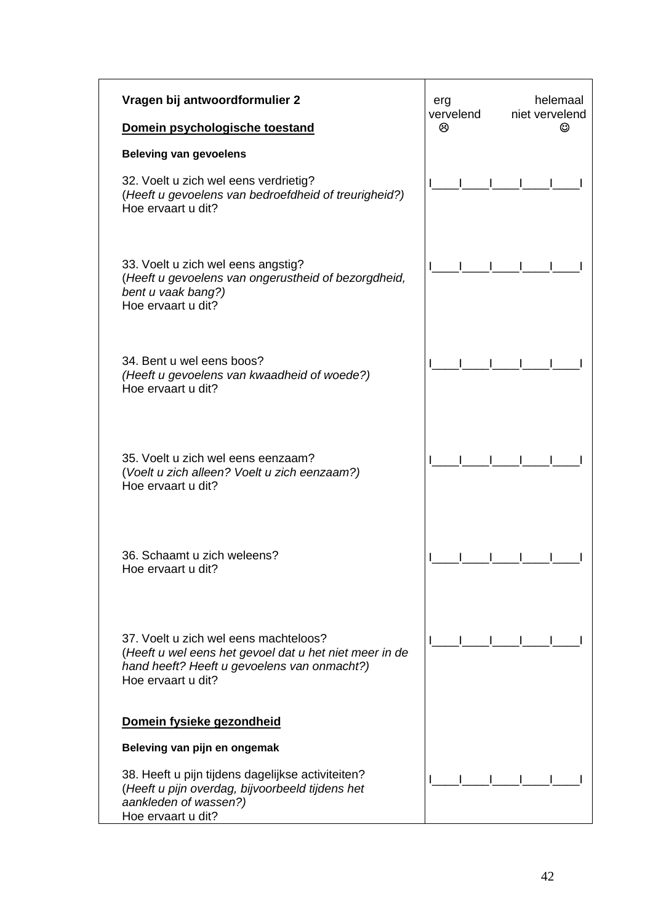| Vragen bij antwoordformulier 2                                                                                                                                       | erg<br>vervelend | helemaal<br>niet vervelend |
|----------------------------------------------------------------------------------------------------------------------------------------------------------------------|------------------|----------------------------|
| Domein psychologische toestand                                                                                                                                       | ⊗                | ☺                          |
| <b>Beleving van gevoelens</b>                                                                                                                                        |                  |                            |
| 32. Voelt u zich wel eens verdrietig?<br>(Heeft u gevoelens van bedroefdheid of treurigheid?)<br>Hoe ervaart u dit?                                                  |                  |                            |
| 33. Voelt u zich wel eens angstig?<br>(Heeft u gevoelens van ongerustheid of bezorgdheid,<br>bent u vaak bang?)<br>Hoe ervaart u dit?                                |                  |                            |
| 34. Bent u wel eens boos?<br>(Heeft u gevoelens van kwaadheid of woede?)<br>Hoe ervaart u dit?                                                                       |                  |                            |
| 35. Voelt u zich wel eens eenzaam?<br>(Voelt u zich alleen? Voelt u zich eenzaam?)<br>Hoe ervaart u dit?                                                             |                  |                            |
| 36. Schaamt u zich weleens?<br>Hoe ervaart u dit?                                                                                                                    |                  |                            |
| 37. Voelt u zich wel eens machteloos?<br>(Heeft u wel eens het gevoel dat u het niet meer in de<br>hand heeft? Heeft u gevoelens van onmacht?)<br>Hoe ervaart u dit? |                  |                            |
| Domein fysieke gezondheid                                                                                                                                            |                  |                            |
| Beleving van pijn en ongemak                                                                                                                                         |                  |                            |
| 38. Heeft u pijn tijdens dagelijkse activiteiten?<br>(Heeft u pijn overdag, bijvoorbeeld tijdens het<br>aankleden of wassen?)<br>Hoe ervaart u dit?                  |                  |                            |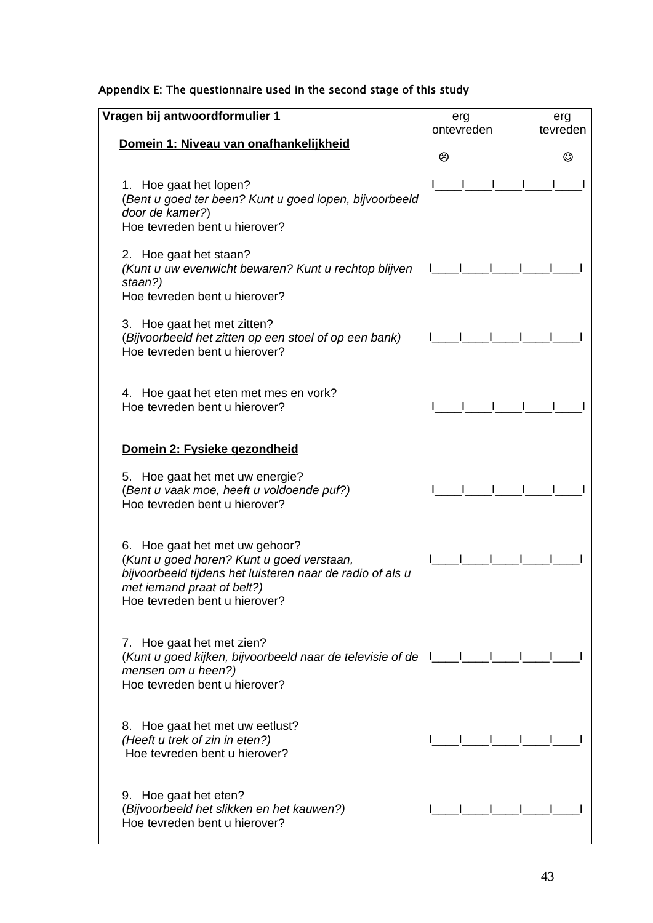|  |  |  | Appendix E: The questionnaire used in the second stage of this study |
|--|--|--|----------------------------------------------------------------------|
|--|--|--|----------------------------------------------------------------------|

| Vragen bij antwoordformulier 1                                                                                                                                                                          | erg        | erg      |
|---------------------------------------------------------------------------------------------------------------------------------------------------------------------------------------------------------|------------|----------|
|                                                                                                                                                                                                         | ontevreden | tevreden |
| Domein 1: Niveau van onafhankelijkheid                                                                                                                                                                  | ⊗          |          |
| 1. Hoe gaat het lopen?<br>(Bent u goed ter been? Kunt u goed lopen, bijvoorbeeld<br>door de kamer?)<br>Hoe tevreden bent u hierover?                                                                    |            |          |
| 2. Hoe gaat het staan?<br>(Kunt u uw evenwicht bewaren? Kunt u rechtop blijven<br>staan?)<br>Hoe tevreden bent u hierover?                                                                              |            |          |
| 3. Hoe gaat het met zitten?<br>(Bijvoorbeeld het zitten op een stoel of op een bank)<br>Hoe tevreden bent u hierover?                                                                                   |            |          |
| 4. Hoe gaat het eten met mes en vork?<br>Hoe tevreden bent u hierover?                                                                                                                                  |            |          |
| Domein 2: Fysieke gezondheid                                                                                                                                                                            |            |          |
| 5. Hoe gaat het met uw energie?<br>(Bent u vaak moe, heeft u voldoende puf?)<br>Hoe tevreden bent u hierover?                                                                                           |            |          |
| 6. Hoe gaat het met uw gehoor?<br>(Kunt u goed horen? Kunt u goed verstaan,<br>bijvoorbeeld tijdens het luisteren naar de radio of als u<br>met iemand praat of belt?)<br>Hoe tevreden bent u hierover? |            |          |
| 7. Hoe gaat het met zien?<br>(Kunt u goed kijken, bijvoorbeeld naar de televisie of de<br>mensen om u heen?)<br>Hoe tevreden bent u hierover?                                                           |            |          |
| 8. Hoe gaat het met uw eetlust?<br>(Heeft u trek of zin in eten?)<br>Hoe tevreden bent u hierover?                                                                                                      |            |          |
| 9. Hoe gaat het eten?<br>(Bijvoorbeeld het slikken en het kauwen?)<br>Hoe tevreden bent u hierover?                                                                                                     |            |          |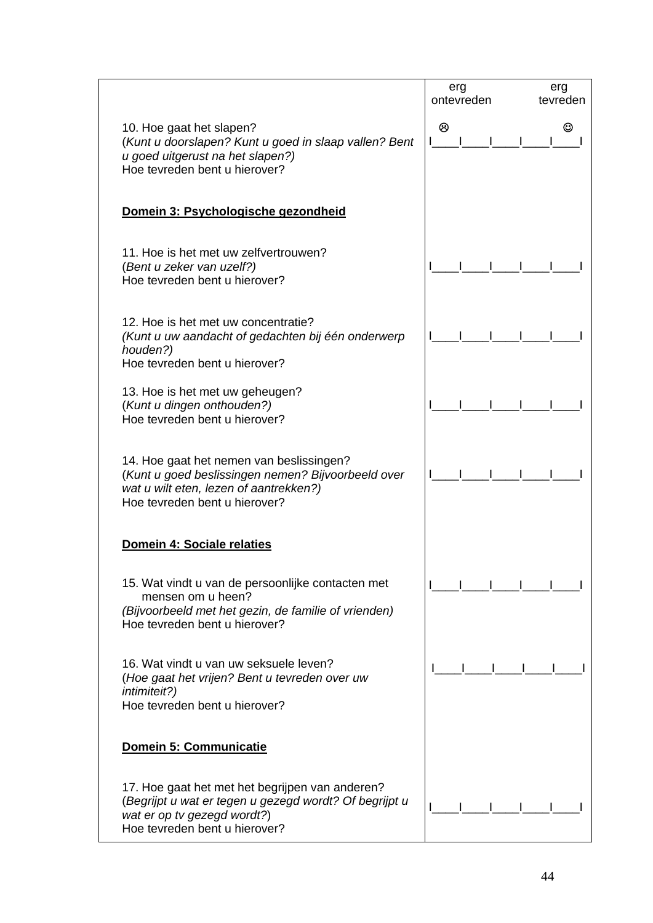|                                                                                                                                                                           | erg<br>ontevreden | erg<br>tevreden |
|---------------------------------------------------------------------------------------------------------------------------------------------------------------------------|-------------------|-----------------|
| 10. Hoe gaat het slapen?<br>(Kunt u doorslapen? Kunt u goed in slaap vallen? Bent<br>u goed uitgerust na het slapen?)<br>Hoe tevreden bent u hierover?                    | ම                 |                 |
| Domein 3: Psychologische gezondheid                                                                                                                                       |                   |                 |
| 11. Hoe is het met uw zelfvertrouwen?<br>(Bent u zeker van uzelf?)<br>Hoe tevreden bent u hierover?                                                                       |                   |                 |
| 12. Hoe is het met uw concentratie?<br>(Kunt u uw aandacht of gedachten bij één onderwerp<br>houden?)<br>Hoe tevreden bent u hierover?                                    |                   |                 |
| 13. Hoe is het met uw geheugen?<br>(Kunt u dingen onthouden?)<br>Hoe tevreden bent u hierover?                                                                            |                   |                 |
| 14. Hoe gaat het nemen van beslissingen?<br>(Kunt u goed beslissingen nemen? Bijvoorbeeld over<br>wat u wilt eten, lezen of aantrekken?)<br>Hoe tevreden bent u hierover? |                   |                 |
| Domein 4: Sociale relaties                                                                                                                                                |                   |                 |
| 15. Wat vindt u van de persoonlijke contacten met<br>mensen om u heen?<br>(Bijvoorbeeld met het gezin, de familie of vrienden)<br>Hoe tevreden bent u hierover?           |                   |                 |
| 16. Wat vindt u van uw seksuele leven?<br>(Hoe gaat het vrijen? Bent u tevreden over uw<br>intimiteit?)<br>Hoe tevreden bent u hierover?                                  |                   |                 |
| Domein 5: Communicatie                                                                                                                                                    |                   |                 |
| 17. Hoe gaat het met het begrijpen van anderen?<br>(Begrijpt u wat er tegen u gezegd wordt? Of begrijpt u<br>wat er op tv gezegd wordt?)<br>Hoe tevreden bent u hierover? |                   |                 |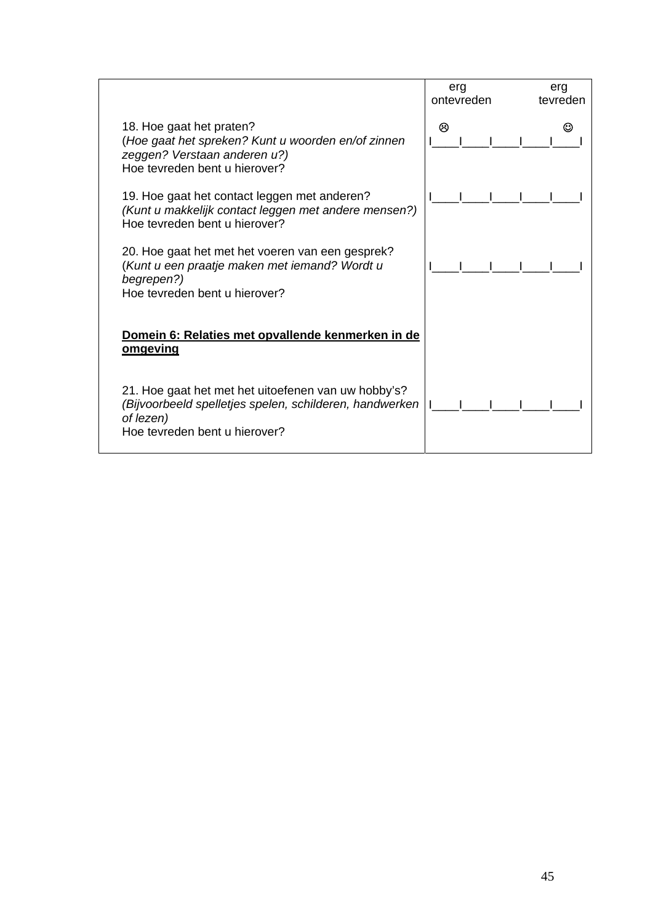|                                                                                                                                                              | erg<br>ontevreden | erg<br>tevreden |
|--------------------------------------------------------------------------------------------------------------------------------------------------------------|-------------------|-----------------|
| 18. Hoe gaat het praten?<br>(Hoe gaat het spreken? Kunt u woorden en/of zinnen<br>zeggen? Verstaan anderen u?)<br>Hoe tevreden bent u hierover?              | ⊗                 |                 |
| 19. Hoe gaat het contact leggen met anderen?<br>(Kunt u makkelijk contact leggen met andere mensen?)<br>Hoe tevreden bent u hierover?                        |                   |                 |
| 20. Hoe gaat het met het voeren van een gesprek?<br>(Kunt u een praatje maken met iemand? Wordt u<br>begrepen?)<br>Hoe tevreden bent u hierover?             |                   |                 |
| Domein 6: Relaties met opvallende kenmerken in de<br>omgeving                                                                                                |                   |                 |
| 21. Hoe gaat het met het uitoefenen van uw hobby's?<br>(Bijvoorbeeld spelletjes spelen, schilderen, handwerken<br>of lezen)<br>Hoe tevreden bent u hierover? |                   |                 |